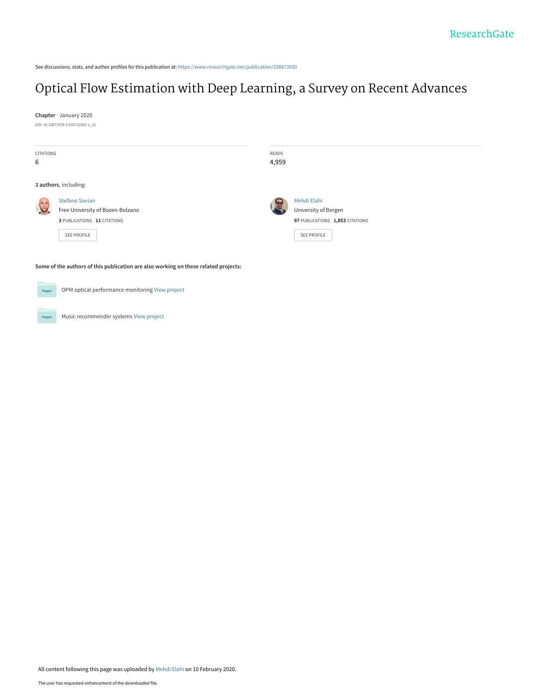See discussions, stats, and author profiles for this publication at: [https://www.researchgate.net/publication/338873930](https://www.researchgate.net/publication/338873930_Optical_Flow_Estimation_with_Deep_Learning_a_Survey_on_Recent_Advances?enrichId=rgreq-cc039bbcca1528302b833e1067cf9a34-XXX&enrichSource=Y292ZXJQYWdlOzMzODg3MzkzMDtBUzo4NTcxMzM5MjI5MzQ3ODVAMTU4MTM2ODA2MDUwNQ%3D%3D&el=1_x_2&_esc=publicationCoverPdf)

# [Optical Flow Estimation with Deep Learning, a Survey on Recent Advances](https://www.researchgate.net/publication/338873930_Optical_Flow_Estimation_with_Deep_Learning_a_Survey_on_Recent_Advances?enrichId=rgreq-cc039bbcca1528302b833e1067cf9a34-XXX&enrichSource=Y292ZXJQYWdlOzMzODg3MzkzMDtBUzo4NTcxMzM5MjI5MzQ3ODVAMTU4MTM2ODA2MDUwNQ%3D%3D&el=1_x_3&_esc=publicationCoverPdf)

**Chapter** · January 2020

DOI: 10.1007/978-3-030-32583-1\_12

| CITATIONS<br>6                                                                      |                                                                                                         | READS<br>4,959 |                                                                                       |  |  |
|-------------------------------------------------------------------------------------|---------------------------------------------------------------------------------------------------------|----------------|---------------------------------------------------------------------------------------|--|--|
|                                                                                     | 3 authors, including:                                                                                   |                |                                                                                       |  |  |
|                                                                                     | <b>Stefano Savian</b><br>Free University of Bozen-Bolzano<br>3 PUBLICATIONS 11 CITATIONS<br>SEE PROFILE |                | Mehdi Elahi<br>University of Bergen<br>97 PUBLICATIONS 1,853 CITATIONS<br>SEE PROFILE |  |  |
| Some of the authors of this publication are also working on these related projects: |                                                                                                         |                |                                                                                       |  |  |
| Project                                                                             | OPM optical performance monitoring View project                                                         |                |                                                                                       |  |  |

Music recommender systems [View project](https://www.researchgate.net/project/Music-recommender-systems?enrichId=rgreq-cc039bbcca1528302b833e1067cf9a34-XXX&enrichSource=Y292ZXJQYWdlOzMzODg3MzkzMDtBUzo4NTcxMzM5MjI5MzQ3ODVAMTU4MTM2ODA2MDUwNQ%3D%3D&el=1_x_9&_esc=publicationCoverPdf) Project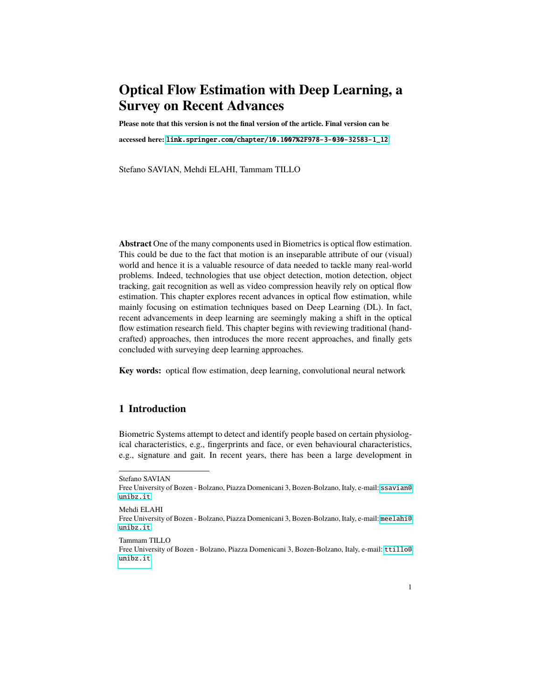## <span id="page-1-0"></span>**Optical Flow Estimation with Deep Learning, a Survey on Recent Advances**

**Please note that this version is not the final version of the article. Final version can be accessed here:** [link.springer.com/chapter/10.1007%2F978-3-030-32583-1\\_12](link.springer.com/chapter/10.1007%2F978-3-030-32583-1_12)

Stefano SAVIAN, Mehdi ELAHI, Tammam TILLO

**Abstract** One of the many components used in Biometrics is optical flow estimation. This could be due to the fact that motion is an inseparable attribute of our (visual) world and hence it is a valuable resource of data needed to tackle many real-world problems. Indeed, technologies that use object detection, motion detection, object tracking, gait recognition as well as video compression heavily rely on optical flow estimation. This chapter explores recent advances in optical flow estimation, while mainly focusing on estimation techniques based on Deep Learning (DL). In fact, recent advancements in deep learning are seemingly making a shift in the optical flow estimation research field. This chapter begins with reviewing traditional (handcrafted) approaches, then introduces the more recent approaches, and finally gets concluded with surveying deep learning approaches.

**Key words:** optical flow estimation, deep learning, convolutional neural network

## **1 Introduction**

Biometric Systems attempt to detect and identify people based on certain physiological characteristics, e.g., fingerprints and face, or even behavioural characteristics, e.g., signature and gait. In recent years, there has been a large development in

Stefano SAVIAN

Free University of Bozen - Bolzano, Piazza Domenicani 3, Bozen-Bolzano, Italy, e-mail: [ssavian@](ssavian@unibz.it) [unibz.it](ssavian@unibz.it)

Mehdi ELAHI

Free University of Bozen - Bolzano, Piazza Domenicani 3, Bozen-Bolzano, Italy, e-mail: [meelahi@](meelahi@unibz.it) [unibz.it](meelahi@unibz.it)

Tammam TILLO

Free University of Bozen - Bolzano, Piazza Domenicani 3, Bozen-Bolzano, Italy, e-mail: [ttillo@](ttillo@unibz.it) [unibz.it](ttillo@unibz.it)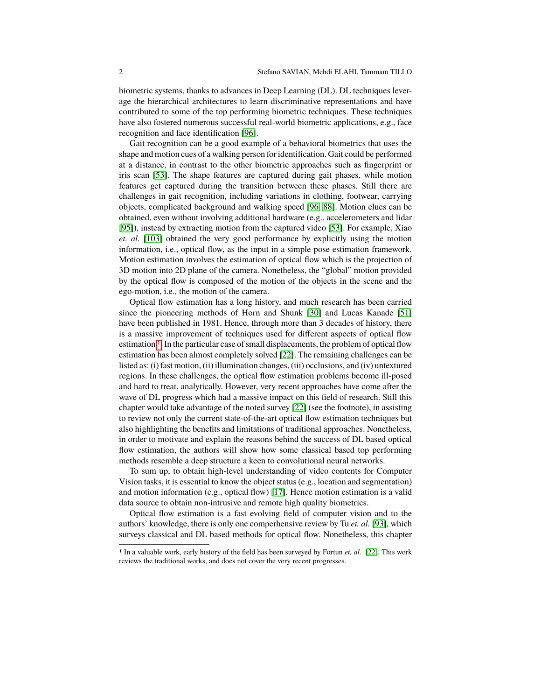biometric systems, thanks to advances in Deep Learning (DL). DL techniques leverage the hierarchical architectures to learn discriminative representations and have contributed to some of the top performing biometric techniques. These techniques have also fostered numerous successful real-world biometric applications, e.g., face recognition and face identification [\[96\]](#page-31-0).

Gait recognition can be a good example of a behavioral biometrics that uses the shape and motion cues of a walking person for identification. Gait could be performed at a distance, in contrast to the other biometric approaches such as fingerprint or iris scan [\[53\]](#page-29-0). The shape features are captured during gait phases, while motion features get captured during the transition between these phases. Still there are challenges in gait recognition, including variations in clothing, footwear, carrying objects, complicated background and walking speed [\[96,](#page-31-0) [88\]](#page-31-1). Motion clues can be obtained, even without involving additional hardware (e.g., accelerometers and lidar [\[95\]](#page-31-2)), instead by extracting motion from the captured video [\[53\]](#page-29-0). For example, Xiao *et. al.* [\[103\]](#page-31-3) obtained the very good performance by explicitly using the motion information, i.e., optical flow, as the input in a simple pose estimation framework. Motion estimation involves the estimation of optical flow which is the projection of 3D motion into 2D plane of the camera. Nonetheless, the "global" motion provided by the optical flow is composed of the motion of the objects in the scene and the ego-motion, i.e., the motion of the camera.

Optical flow estimation has a long history, and much research has been carried since the pioneering methods of Horn and Shunk [\[30\]](#page-28-0) and Lucas Kanade [\[51\]](#page-29-1) have been published in 1981. Hence, through more than 3 decades of history, there is a massive improvement of techniques used for different aspects of optical flow estimation <sup>[1](#page-1-0)</sup>. In the particular case of small displacements, the problem of optical flow estimation has been almost completely solved [\[22\]](#page-27-0). The remaining challenges can be listed as: (i) fast motion, (ii) illumination changes, (iii) occlusions, and (iv) untextured regions. In these challenges, the optical flow estimation problems become ill-posed and hard to treat, analytically. However, very recent approaches have come after the wave of DL progress which had a massive impact on this field of research. Still this chapter would take advantage of the noted survey [\[22\]](#page-27-0) (see the footnote), in assisting to review not only the current state-of-the-art optical flow estimation techniques but also highlighting the benefits and limitations of traditional approaches. Nonetheless, in order to motivate and explain the reasons behind the success of DL based optical flow estimation, the authors will show how some classical based top performing methods resemble a deep structure a keen to convolutional neural networks.

To sum up, to obtain high-level understanding of video contents for Computer Vision tasks, it is essential to know the object status (e.g., location and segmentation) and motion information (e.g., optical flow) [\[17\]](#page-27-1). Hence motion estimation is a valid data source to obtain non-intrusive and remote high quality biometrics.

Optical flow estimation is a fast evolving field of computer vision and to the authors' knowledge, there is only one comperhensive review by Tu *et. al.* [\[93\]](#page-31-4), which surveys classical and DL based methods for optical flow. Nonetheless, this chapter

<sup>1</sup> In a valuable work, early history of the field has been surveyed by Fortun *et. al.* [\[22\]](#page-27-0). This work reviews the traditional works, and does not cover the very recent progresses.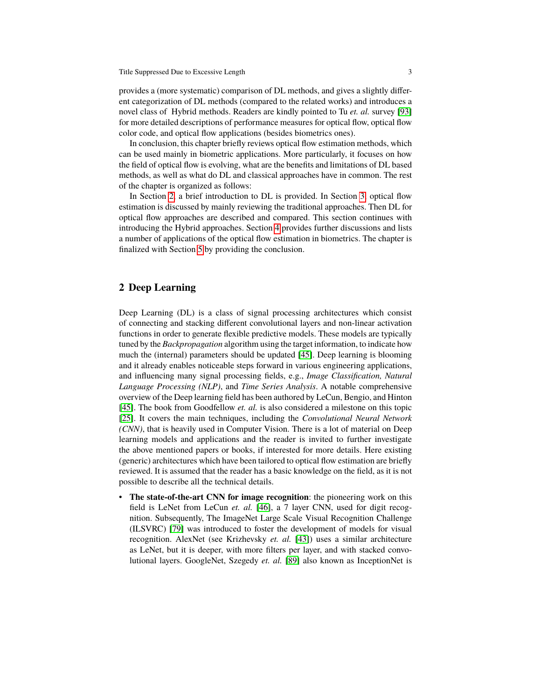provides a (more systematic) comparison of DL methods, and gives a slightly different categorization of DL methods (compared to the related works) and introduces a novel class of Hybrid methods. Readers are kindly pointed to Tu *et. al.* survey [\[93\]](#page-31-4) for more detailed descriptions of performance measures for optical flow, optical flow color code, and optical flow applications (besides biometrics ones).

In conclusion, this chapter briefly reviews optical flow estimation methods, which can be used mainly in biometric applications. More particularly, it focuses on how the field of optical flow is evolving, what are the benefits and limitations of DL based methods, as well as what do DL and classical approaches have in common. The rest of the chapter is organized as follows:

In Section [2,](#page-3-0) a brief introduction to DL is provided. In Section [3,](#page-4-0) optical flow estimation is discussed by mainly reviewing the traditional approaches. Then DL for optical flow approaches are described and compared. This section continues with introducing the Hybrid approaches. Section [4](#page-24-0) provides further discussions and lists a number of applications of the optical flow estimation in biometrics. The chapter is finalized with Section [5](#page-26-0) by providing the conclusion.

## <span id="page-3-0"></span>**2 Deep Learning**

Deep Learning (DL) is a class of signal processing architectures which consist of connecting and stacking different convolutional layers and non-linear activation functions in order to generate flexible predictive models. These models are typically tuned by the *Backpropagation* algorithm using the target information, to indicate how much the (internal) parameters should be updated [\[45\]](#page-29-2). Deep learning is blooming and it already enables noticeable steps forward in various engineering applications, and influencing many signal processing fields, e.g., *Image Classification, Natural Language Processing (NLP)*, and *Time Series Analysis*. A notable comprehensive overview of the Deep learning field has been authored by LeCun, Bengio, and Hinton [\[45\]](#page-29-2). The book from Goodfellow *et. al.* is also considered a milestone on this topic [\[25\]](#page-27-2). It covers the main techniques, including the *Convolutional Neural Network (CNN)*, that is heavily used in Computer Vision. There is a lot of material on Deep learning models and applications and the reader is invited to further investigate the above mentioned papers or books, if interested for more details. Here existing (generic) architectures which have been tailored to optical flow estimation are briefly reviewed. It is assumed that the reader has a basic knowledge on the field, as it is not possible to describe all the technical details.

**The state-of-the-art CNN for image recognition**: the pioneering work on this field is LeNet from LeCun *et. al.* [\[46\]](#page-29-3), a 7 layer CNN, used for digit recognition. Subsequently, The ImageNet Large Scale Visual Recognition Challenge (ILSVRC) [\[79\]](#page-30-0) was introduced to foster the development of models for visual recognition. AlexNet (see Krizhevsky *et. al.* [\[43\]](#page-28-1)) uses a similar architecture as LeNet, but it is deeper, with more filters per layer, and with stacked convolutional layers. GoogleNet, Szegedy *et. al.* [\[89\]](#page-31-5) also known as InceptionNet is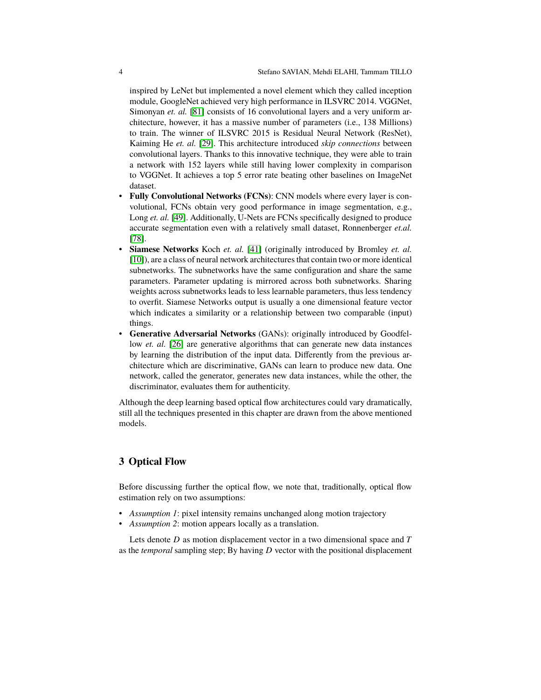inspired by LeNet but implemented a novel element which they called inception module, GoogleNet achieved very high performance in ILSVRC 2014. VGGNet, Simonyan *et. al.* [\[81\]](#page-30-1) consists of 16 convolutional layers and a very uniform architecture, however, it has a massive number of parameters (i.e., 138 Millions) to train. The winner of ILSVRC 2015 is Residual Neural Network (ResNet), Kaiming He *et. al.* [\[29\]](#page-28-2). This architecture introduced *skip connections* between convolutional layers. Thanks to this innovative technique, they were able to train a network with 152 layers while still having lower complexity in comparison to VGGNet. It achieves a top 5 error rate beating other baselines on ImageNet dataset.

- **Fully Convolutional Networks (FCNs)**: CNN models where every layer is convolutional, FCNs obtain very good performance in image segmentation, e.g., Long *et. al.* [\[49\]](#page-29-4). Additionally, U-Nets are FCNs specifically designed to produce accurate segmentation even with a relatively small dataset, Ronnenberger *et.al.* [\[78\]](#page-30-2).
- **Siamese Networks** Koch *et. al.* [\[41\]](#page-28-3) (originally introduced by Bromley *et. al.* [\[10\]](#page-27-3)), are a class of neural network architectures that contain two or more identical subnetworks. The subnetworks have the same configuration and share the same parameters. Parameter updating is mirrored across both subnetworks. Sharing weights across subnetworks leads to less learnable parameters, thus less tendency to overfit. Siamese Networks output is usually a one dimensional feature vector which indicates a similarity or a relationship between two comparable (input) things.
- **Generative Adversarial Networks** (GANs): originally introduced by Goodfellow *et. al.* [\[26\]](#page-28-4) are generative algorithms that can generate new data instances by learning the distribution of the input data. Differently from the previous architecture which are discriminative, GANs can learn to produce new data. One network, called the generator, generates new data instances, while the other, the discriminator, evaluates them for authenticity.

Although the deep learning based optical flow architectures could vary dramatically, still all the techniques presented in this chapter are drawn from the above mentioned models.

## <span id="page-4-0"></span>**3 Optical Flow**

Before discussing further the optical flow, we note that, traditionally, optical flow estimation rely on two assumptions:

- *Assumption 1*: pixel intensity remains unchanged along motion trajectory
- *Assumption 2*: motion appears locally as a translation.

Lets denote  $D$  as motion displacement vector in a two dimensional space and  $T$ as the *temporal* sampling step; By having D vector with the positional displacement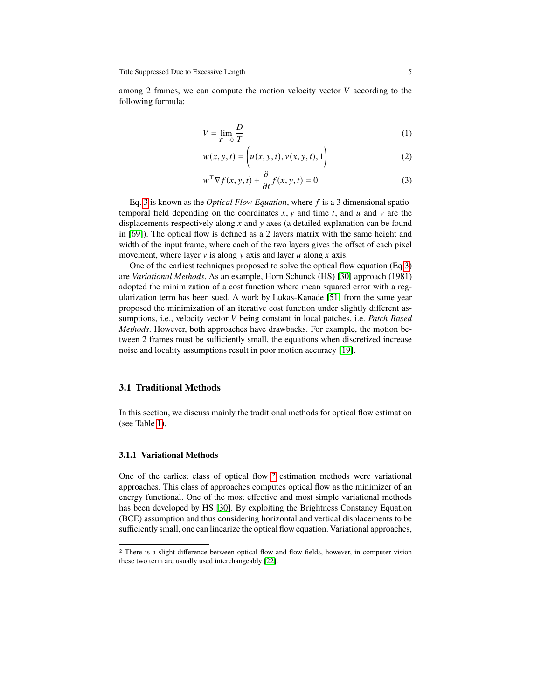among 2 frames, we can compute the motion velocity vector  $V$  according to the following formula:

$$
V = \lim_{T \to 0} \frac{D}{T} \tag{1}
$$

$$
w(x, y, t) = \left( u(x, y, t), v(x, y, t), 1 \right)
$$
 (2)

<span id="page-5-0"></span>
$$
w^{\top} \nabla f(x, y, t) + \frac{\partial}{\partial t} f(x, y, t) = 0
$$
 (3)

Eq. [3](#page-5-0) is known as the *Optical Flow Equation*, where  $f$  is a 3 dimensional spatiotemporal field depending on the coordinates  $x, y$  and time  $t$ , and  $u$  and  $v$  are the displacements respectively along  $x$  and  $y$  axes (a detailed explanation can be found in [\[69\]](#page-30-3)). The optical flow is defined as a 2 layers matrix with the same height and width of the input frame, where each of the two layers gives the offset of each pixel movement, where layer  $v$  is along  $y$  axis and layer  $u$  along  $x$  axis.

One of the earliest techniques proposed to solve the optical flow equation (Eq[.3\)](#page-5-0) are *Variational Methods*. As an example, Horn Schunck (HS) [\[30\]](#page-28-0) approach (1981) adopted the minimization of a cost function where mean squared error with a regularization term has been sued. A work by Lukas-Kanade [\[51\]](#page-29-1) from the same year proposed the minimization of an iterative cost function under slightly different assumptions, i.e., velocity vector V being constant in local patches, i.e. *Patch Based Methods*. However, both approaches have drawbacks. For example, the motion between 2 frames must be sufficiently small, the equations when discretized increase noise and locality assumptions result in poor motion accuracy [\[19\]](#page-27-4).

#### **3.1 Traditional Methods**

In this section, we discuss mainly the traditional methods for optical flow estimation (see Table [1\)](#page-9-0).

#### **3.1.1 Variational Methods**

One of the earliest class of optical flow <sup>[2](#page-1-0)</sup> estimation methods were variational approaches. This class of approaches computes optical flow as the minimizer of an energy functional. One of the most effective and most simple variational methods has been developed by HS [\[30\]](#page-28-0). By exploiting the Brightness Constancy Equation (BCE) assumption and thus considering horizontal and vertical displacements to be sufficiently small, one can linearize the optical flow equation. Variational approaches,

<sup>2</sup> There is a slight difference between optical flow and flow fields, however, in computer vision these two term are usually used interchangeably [\[22\]](#page-27-0).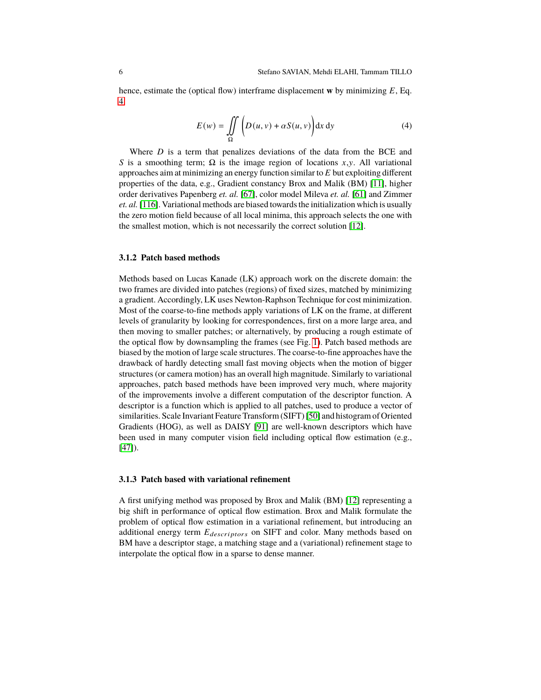<span id="page-6-0"></span>hence, estimate the (optical flow) interframe displacement **w** by minimizing  $E$ , Eq. [4.](#page-6-0)

$$
E(w) = \iint_{\Omega} \left( D(u, v) + \alpha S(u, v) \right) dx dy
$$
 (4)

Where  $D$  is a term that penalizes deviations of the data from the BCE and S is a smoothing term;  $\Omega$  is the image region of locations x,y. All variational approaches aim at minimizing an energy function similar to  $E$  but exploiting different properties of the data, e.g., Gradient constancy Brox and Malik (BM) [\[11\]](#page-27-5), higher order derivatives Papenberg *et. al.* [\[67\]](#page-30-4), color model Mileva *et. al.* [\[61\]](#page-29-5) and Zimmer *et. al.*[\[116\]](#page-32-0). Variational methods are biased towards the initialization which is usually the zero motion field because of all local minima, this approach selects the one with the smallest motion, which is not necessarily the correct solution [\[12\]](#page-27-6).

#### <span id="page-6-1"></span>**3.1.2 Patch based methods**

Methods based on Lucas Kanade (LK) approach work on the discrete domain: the two frames are divided into patches (regions) of fixed sizes, matched by minimizing a gradient. Accordingly, LK uses Newton-Raphson Technique for cost minimization. Most of the coarse-to-fine methods apply variations of LK on the frame, at different levels of granularity by looking for correspondences, first on a more large area, and then moving to smaller patches; or alternatively, by producing a rough estimate of the optical flow by downsampling the frames (see Fig. [1\)](#page-7-0). Patch based methods are biased by the motion of large scale structures. The coarse-to-fine approaches have the drawback of hardly detecting small fast moving objects when the motion of bigger structures (or camera motion) has an overall high magnitude. Similarly to variational approaches, patch based methods have been improved very much, where majority of the improvements involve a different computation of the descriptor function. A descriptor is a function which is applied to all patches, used to produce a vector of similarities. Scale Invariant Feature Transform (SIFT) [\[50\]](#page-29-6) and histogram of Oriented Gradients (HOG), as well as DAISY [\[91\]](#page-31-6) are well-known descriptors which have been used in many computer vision field including optical flow estimation (e.g., [\[47\]](#page-29-7)).

#### **3.1.3 Patch based with variational refinement**

A first unifying method was proposed by Brox and Malik (BM) [\[12\]](#page-27-6) representing a big shift in performance of optical flow estimation. Brox and Malik formulate the problem of optical flow estimation in a variational refinement, but introducing an additional energy term  $E_{descriptions}$  on SIFT and color. Many methods based on BM have a descriptor stage, a matching stage and a (variational) refinement stage to interpolate the optical flow in a sparse to dense manner.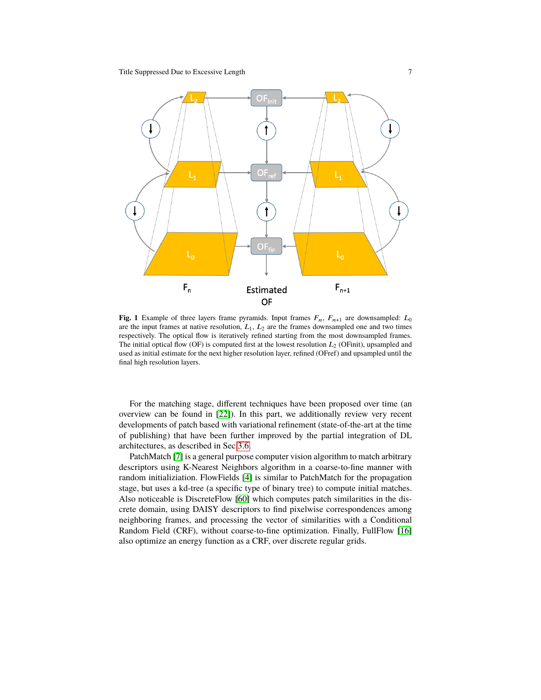

<span id="page-7-0"></span>**Fig. 1** Example of three layers frame pyramids. Input frames  $F_n$ ,  $F_{n+1}$  are downsampled:  $L_0$ are the input frames at native resolution,  $L_1, L_2$  are the frames downsampled one and two times respectively. The optical flow is iteratively refined starting from the most downsampled frames. The initial optical flow (OF) is computed first at the lowest resolution  $L_2$  (OFinit), upsampled and used as initial estimate for the next higher resolution layer, refined (OFref) and upsampled until the final high resolution layers.

For the matching stage, different techniques have been proposed over time (an overview can be found in [\[22\]](#page-27-0)). In this part, we additionally review very recent developments of patch based with variational refinement (state-of-the-art at the time of publishing) that have been further improved by the partial integration of DL architectures, as described in Sec[.3.6.](#page-20-0)

PatchMatch [\[7\]](#page-27-7) is a general purpose computer vision algorithm to match arbitrary descriptors using K-Nearest Neighbors algorithm in a coarse-to-fine manner with random initializiation. FlowFields [\[4\]](#page-26-1) is similar to PatchMatch for the propagation stage, but uses a kd-tree (a specific type of binary tree) to compute initial matches. Also noticeable is DiscreteFlow [\[60\]](#page-29-8) which computes patch similarities in the discrete domain, using DAISY descriptors to find pixelwise correspondences among neighboring frames, and processing the vector of similarities with a Conditional Random Field (CRF), without coarse-to-fine optimization. Finally, FullFlow [\[16\]](#page-27-8) also optimize an energy function as a CRF, over discrete regular grids.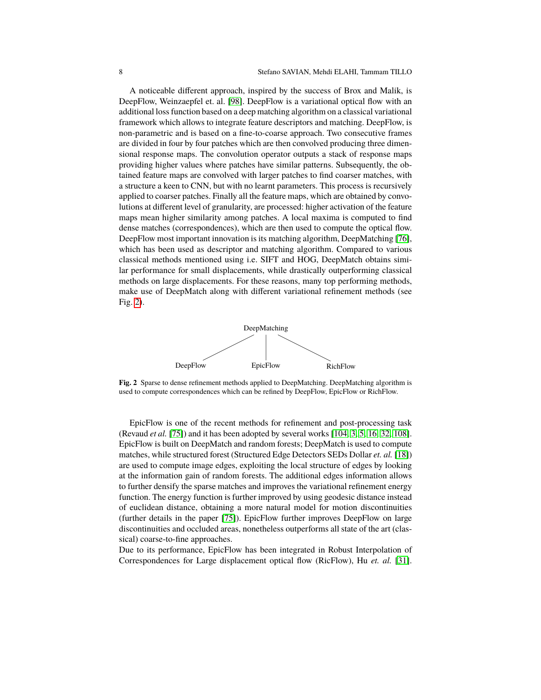A noticeable different approach, inspired by the success of Brox and Malik, is DeepFlow, Weinzaepfel et. al. [\[98\]](#page-31-7). DeepFlow is a variational optical flow with an additional loss function based on a deep matching algorithm on a classical variational framework which allows to integrate feature descriptors and matching. DeepFlow, is non-parametric and is based on a fine-to-coarse approach. Two consecutive frames are divided in four by four patches which are then convolved producing three dimensional response maps. The convolution operator outputs a stack of response maps providing higher values where patches have similar patterns. Subsequently, the obtained feature maps are convolved with larger patches to find coarser matches, with a structure a keen to CNN, but with no learnt parameters. This process is recursively applied to coarser patches. Finally all the feature maps, which are obtained by convolutions at different level of granularity, are processed: higher activation of the feature maps mean higher similarity among patches. A local maxima is computed to find dense matches (correspondences), which are then used to compute the optical flow. DeepFlow most important innovation is its matching algorithm, DeepMatching [\[76\]](#page-30-5), which has been used as descriptor and matching algorithm. Compared to various classical methods mentioned using i.e. SIFT and HOG, DeepMatch obtains similar performance for small displacements, while drastically outperforming classical methods on large displacements. For these reasons, many top performing methods, make use of DeepMatch along with different variational refinement methods (see Fig. [2\)](#page-8-0).



<span id="page-8-0"></span>**Fig. 2** Sparse to dense refinement methods applied to DeepMatching. DeepMatching algorithm is used to compute correspondences which can be refined by DeepFlow, EpicFlow or RichFlow.

EpicFlow is one of the recent methods for refinement and post-processing task (Revaud *et al.* [\[75\]](#page-30-6)) and it has been adopted by several works [\[104,](#page-32-1) [3,](#page-26-2) [5,](#page-26-3) [16,](#page-27-8) [32,](#page-28-5) [108\]](#page-32-2). EpicFlow is built on DeepMatch and random forests; DeepMatch is used to compute matches, while structured forest (Structured Edge Detectors SEDs Dollar *et. al.* [\[18\]](#page-27-9)) are used to compute image edges, exploiting the local structure of edges by looking at the information gain of random forests. The additional edges information allows to further densify the sparse matches and improves the variational refinement energy function. The energy function is further improved by using geodesic distance instead of euclidean distance, obtaining a more natural model for motion discontinuities (further details in the paper [\[75\]](#page-30-6)). EpicFlow further improves DeepFlow on large discontinuities and occluded areas, nonetheless outperforms all state of the art (classical) coarse-to-fine approaches.

Due to its performance, EpicFlow has been integrated in Robust Interpolation of Correspondences for Large displacement optical flow (RicFlow), Hu *et. al.* [\[31\]](#page-28-6).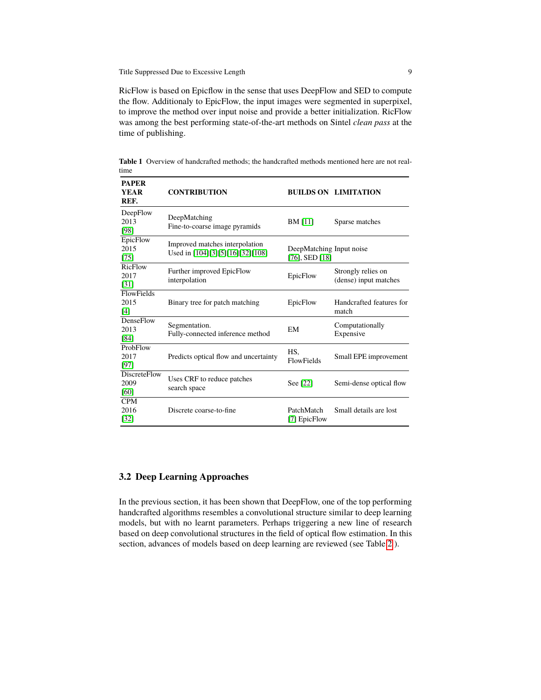RicFlow is based on Epicflow in the sense that uses DeepFlow and SED to compute the flow. Additionaly to EpicFlow, the input images were segmented in superpixel, to improve the method over input noise and provide a better initialization. RicFlow was among the best performing state-of-the-art methods on Sintel *clean pass* at the time of publishing.

<span id="page-9-0"></span>**Table 1** Overview of handcrafted methods; the handcrafted methods mentioned here are not realtime

| <b>PAPER</b><br><b>YEAR</b><br>REF.   | <b>CONTRIBUTION</b>                                                |                                            | <b>BUILDS ON LIMITATION</b>                 |
|---------------------------------------|--------------------------------------------------------------------|--------------------------------------------|---------------------------------------------|
| DeepFlow<br>2013<br>[98]              | DeepMatching<br>Fine-to-coarse image pyramids                      | BM [11]                                    | Sparse matches                              |
| EpicFlow<br>2015<br>$[75]$            | Improved matches interpolation<br>Used in [104][3][5][16][32][108] | DeepMatching Input noise<br>[76], SED [18] |                                             |
| RicFlow<br>2017<br>$\lceil 31 \rceil$ | Further improved EpicFlow<br>interpolation                         | EpicFlow                                   | Strongly relies on<br>(dense) input matches |
| FlowFields<br>2015<br>[4]             | Binary tree for patch matching                                     | EpicFlow                                   | Handcrafted features for<br>match           |
| <b>DenseFlow</b><br>2013<br>[84]      | Segmentation.<br>Fully-connected inference method                  | EM                                         | Computationally<br>Expensive                |
| ProbFlow<br>2017<br>$[97]$            | Predicts optical flow and uncertainty                              | HS.<br><b>FlowFields</b>                   | Small EPE improvement                       |
| <b>DiscreteFlow</b><br>2009<br>[60]   | Uses CRF to reduce patches<br>search space                         | See [22]                                   | Semi-dense optical flow                     |
| <b>CPM</b><br>2016<br>$[32]$          | Discrete coarse-to-fine                                            | PatchMatch<br>[7] EpicFlow                 | Small details are lost                      |

## **3.2 Deep Learning Approaches**

In the previous section, it has been shown that DeepFlow, one of the top performing handcrafted algorithms resembles a convolutional structure similar to deep learning models, but with no learnt parameters. Perhaps triggering a new line of research based on deep convolutional structures in the field of optical flow estimation. In this section, advances of models based on deep learning are reviewed (see Table [2](#page-15-0) ).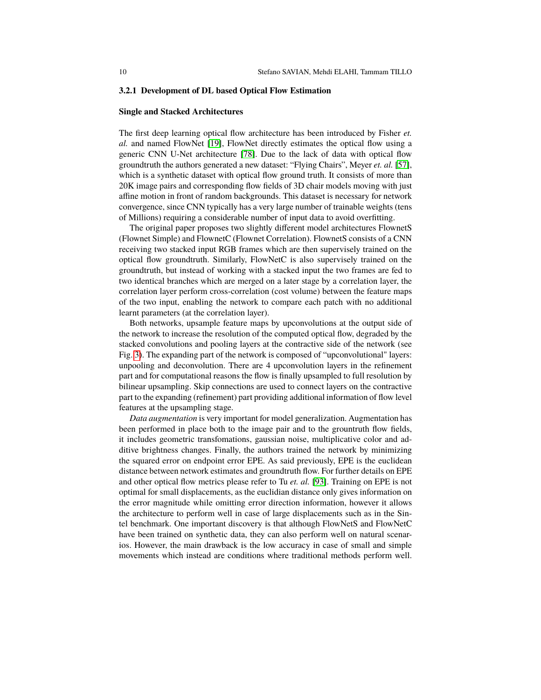#### **3.2.1 Development of DL based Optical Flow Estimation**

#### <span id="page-10-0"></span>**Single and Stacked Architectures**

The first deep learning optical flow architecture has been introduced by Fisher *et. al.* and named FlowNet [\[19\]](#page-27-4), FlowNet directly estimates the optical flow using a generic CNN U-Net architecture [\[78\]](#page-30-2). Due to the lack of data with optical flow groundtruth the authors generated a new dataset: "Flying Chairs", Meyer *et. al.* [\[57\]](#page-29-9), which is a synthetic dataset with optical flow ground truth. It consists of more than 20K image pairs and corresponding flow fields of 3D chair models moving with just affine motion in front of random backgrounds. This dataset is necessary for network convergence, since CNN typically has a very large number of trainable weights (tens of Millions) requiring a considerable number of input data to avoid overfitting.

The original paper proposes two slightly different model architectures FlownetS (Flownet Simple) and FlownetC (Flownet Correlation). FlownetS consists of a CNN receiving two stacked input RGB frames which are then supervisely trained on the optical flow groundtruth. Similarly, FlowNetC is also supervisely trained on the groundtruth, but instead of working with a stacked input the two frames are fed to two identical branches which are merged on a later stage by a correlation layer, the correlation layer perform cross-correlation (cost volume) between the feature maps of the two input, enabling the network to compare each patch with no additional learnt parameters (at the correlation layer).

Both networks, upsample feature maps by upconvolutions at the output side of the network to increase the resolution of the computed optical flow, degraded by the stacked convolutions and pooling layers at the contractive side of the network (see Fig. [3\)](#page-11-0). The expanding part of the network is composed of "upconvolutional" layers: unpooling and deconvolution. There are 4 upconvolution layers in the refinement part and for computational reasons the flow is finally upsampled to full resolution by bilinear upsampling. Skip connections are used to connect layers on the contractive part to the expanding (refinement) part providing additional information of flow level features at the upsampling stage.

*Data augmentation* is very important for model generalization. Augmentation has been performed in place both to the image pair and to the grountruth flow fields, it includes geometric transfomations, gaussian noise, multiplicative color and additive brightness changes. Finally, the authors trained the network by minimizing the squared error on endpoint error EPE. As said previously, EPE is the euclidean distance between network estimates and groundtruth flow. For further details on EPE and other optical flow metrics please refer to Tu *et. al.* [\[93\]](#page-31-4). Training on EPE is not optimal for small displacements, as the euclidian distance only gives information on the error magnitude while omitting error direction information, however it allows the architecture to perform well in case of large displacements such as in the Sintel benchmark. One important discovery is that although FlowNetS and FlowNetC have been trained on synthetic data, they can also perform well on natural scenarios. However, the main drawback is the low accuracy in case of small and simple movements which instead are conditions where traditional methods perform well.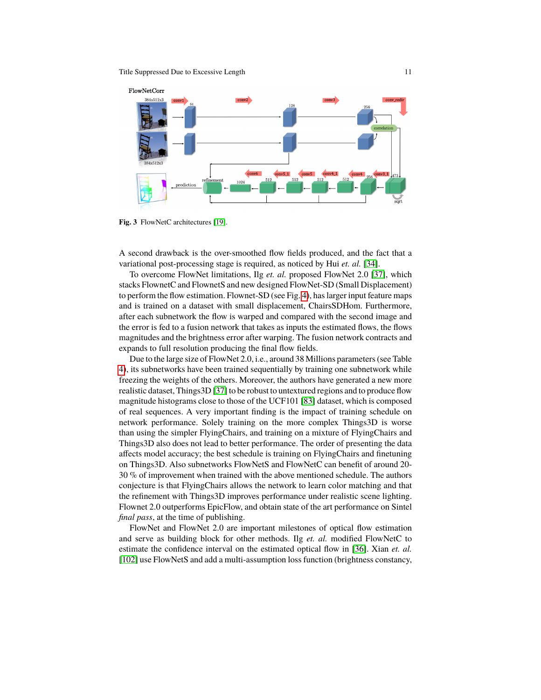

<span id="page-11-0"></span>**Fig. 3** FlowNetC architectures [\[19\]](#page-27-4).

A second drawback is the over-smoothed flow fields produced, and the fact that a variational post-processing stage is required, as noticed by Hui *et. al.* [\[34\]](#page-28-7).

To overcome FlowNet limitations, Ilg *et. al.* proposed FlowNet 2.0 [\[37\]](#page-28-8), which stacks FlownetC and FlownetS and new designed FlowNet-SD (Small Displacement) to perform the flow estimation. Flownet-SD (see Fig. [4\)](#page-12-0), has larger input feature maps and is trained on a dataset with small displacement, ChairsSDHom. Furthermore, after each subnetwork the flow is warped and compared with the second image and the error is fed to a fusion network that takes as inputs the estimated flows, the flows magnitudes and the brightness error after warping. The fusion network contracts and expands to full resolution producing the final flow fields.

Due to the large size of FlowNet 2.0, i.e., around 38 Millions parameters (see Table [4\)](#page-18-0), its subnetworks have been trained sequentially by training one subnetwork while freezing the weights of the others. Moreover, the authors have generated a new more realistic dataset, Things3D [\[37\]](#page-28-8) to be robust to untextured regions and to produce flow magnitude histograms close to those of the UCF101 [\[83\]](#page-30-8) dataset, which is composed of real sequences. A very important finding is the impact of training schedule on network performance. Solely training on the more complex Things3D is worse than using the simpler FlyingChairs, and training on a mixture of FlyingChairs and Things3D also does not lead to better performance. The order of presenting the data affects model accuracy; the best schedule is training on FlyingChairs and finetuning on Things3D. Also subnetworks FlowNetS and FlowNetC can benefit of around 20- 30 % of improvement when trained with the above mentioned schedule. The authors conjecture is that FlyingChairs allows the network to learn color matching and that the refinement with Things3D improves performance under realistic scene lighting. Flownet 2.0 outperforms EpicFlow, and obtain state of the art performance on Sintel *final pass*, at the time of publishing.

FlowNet and FlowNet 2.0 are important milestones of optical flow estimation and serve as building block for other methods. Ilg *et. al.* modified FlowNetC to estimate the confidence interval on the estimated optical flow in [\[36\]](#page-28-9). Xian *et. al.* [\[102\]](#page-31-9) use FlowNetS and add a multi-assumption loss function (brightness constancy,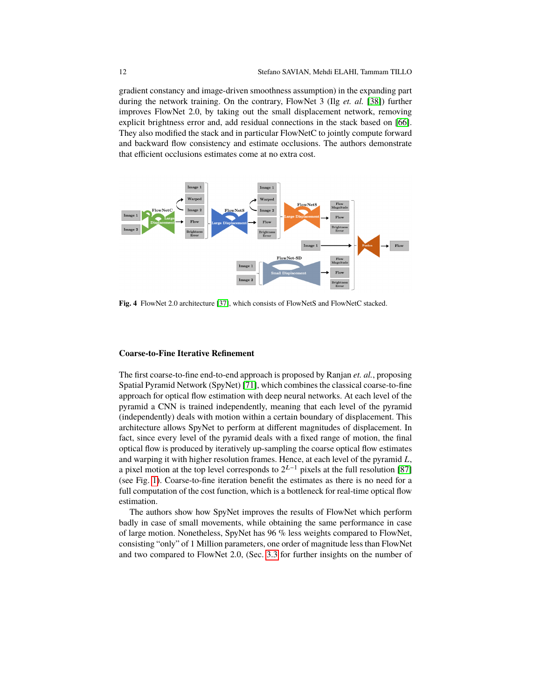gradient constancy and image-driven smoothness assumption) in the expanding part during the network training. On the contrary, FlowNet 3 (Ilg *et. al.* [\[38\]](#page-28-10)) further improves FlowNet 2.0, by taking out the small displacement network, removing explicit brightness error and, add residual connections in the stack based on [\[66\]](#page-30-9). They also modified the stack and in particular FlowNetC to jointly compute forward and backward flow consistency and estimate occlusions. The authors demonstrate that efficient occlusions estimates come at no extra cost.



<span id="page-12-0"></span>**Fig. 4** FlowNet 2.0 architecture [\[37\]](#page-28-8), which consists of FlowNetS and FlowNetC stacked.

#### <span id="page-12-1"></span>**Coarse-to-Fine Iterative Refinement**

The first coarse-to-fine end-to-end approach is proposed by Ranjan *et. al.*, proposing Spatial Pyramid Network (SpyNet) [\[71\]](#page-30-10), which combines the classical coarse-to-fine approach for optical flow estimation with deep neural networks. At each level of the pyramid a CNN is trained independently, meaning that each level of the pyramid (independently) deals with motion within a certain boundary of displacement. This architecture allows SpyNet to perform at different magnitudes of displacement. In fact, since every level of the pyramid deals with a fixed range of motion, the final optical flow is produced by iteratively up-sampling the coarse optical flow estimates and warping it with higher resolution frames. Hence, at each level of the pyramid  $L$ , a pixel motion at the top level corresponds to  $2^{L-1}$  pixels at the full resolution [\[87\]](#page-31-10) (see Fig. [1\)](#page-7-0). Coarse-to-fine iteration benefit the estimates as there is no need for a full computation of the cost function, which is a bottleneck for real-time optical flow estimation.

The authors show how SpyNet improves the results of FlowNet which perform badly in case of small movements, while obtaining the same performance in case of large motion. Nonetheless, SpyNet has 96 % less weights compared to FlowNet, consisting "only" of 1 Million parameters, one order of magnitude less than FlowNet and two compared to FlowNet 2.0, (Sec. [3.3](#page-16-0) for further insights on the number of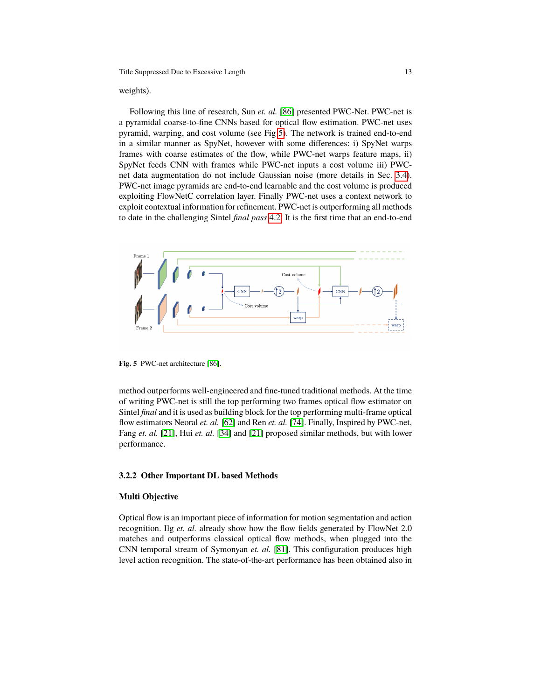#### weights).

Following this line of research, Sun *et. al.* [\[86\]](#page-31-11) presented PWC-Net. PWC-net is a pyramidal coarse-to-fine CNNs based for optical flow estimation. PWC-net uses pyramid, warping, and cost volume (see Fig [5\)](#page-13-0). The network is trained end-to-end in a similar manner as SpyNet, however with some differences: i) SpyNet warps frames with coarse estimates of the flow, while PWC-net warps feature maps, ii) SpyNet feeds CNN with frames while PWC-net inputs a cost volume iii) PWCnet data augmentation do not include Gaussian noise (more details in Sec. [3.4\)](#page-18-1). PWC-net image pyramids are end-to-end learnable and the cost volume is produced exploiting FlowNetC correlation layer. Finally PWC-net uses a context network to exploit contextual information for refinement. PWC-net is outperforming all methods to date in the challenging Sintel *final pass* [4.2.](#page-24-1) It is the first time that an end-to-end



<span id="page-13-0"></span>**Fig. 5** PWC-net architecture [\[86\]](#page-31-11).

method outperforms well-engineered and fine-tuned traditional methods. At the time of writing PWC-net is still the top performing two frames optical flow estimator on Sintel *final* and it is used as building block for the top performing multi-frame optical flow estimators Neoral *et. al.* [\[62\]](#page-29-10) and Ren *et. al.* [\[74\]](#page-30-11). Finally, Inspired by PWC-net, Fang *et. al.* [\[21\]](#page-27-10), Hui *et. al.* [\[34\]](#page-28-7) and [\[21\]](#page-27-10) proposed similar methods, but with lower performance.

#### **3.2.2 Other Important DL based Methods**

#### **Multi Objective**

Optical flow is an important piece of information for motion segmentation and action recognition. Ilg *et. al.* already show how the flow fields generated by FlowNet 2.0 matches and outperforms classical optical flow methods, when plugged into the CNN temporal stream of Symonyan *et. al.* [\[81\]](#page-30-1). This configuration produces high level action recognition. The state-of-the-art performance has been obtained also in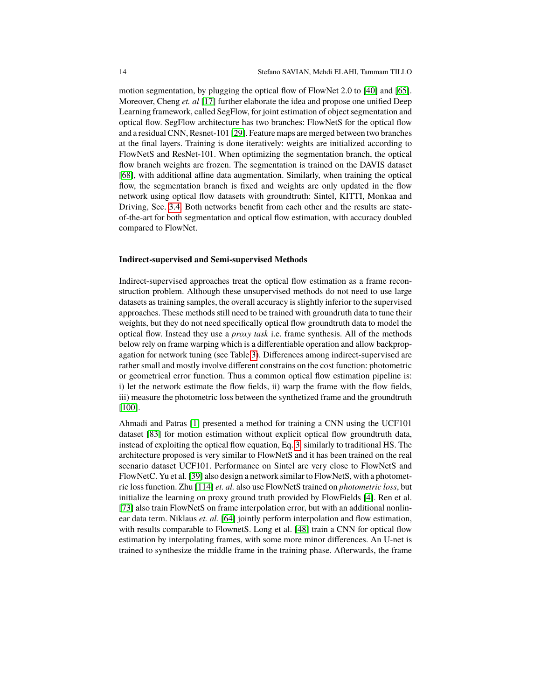motion segmentation, by plugging the optical flow of FlowNet 2.0 to [\[40\]](#page-28-11) and [\[65\]](#page-29-11). Moreover, Cheng *et. al* [\[17\]](#page-27-1) further elaborate the idea and propose one unified Deep Learning framework, called SegFlow, for joint estimation of object segmentation and optical flow. SegFlow architecture has two branches: FlowNetS for the optical flow and a residual CNN, Resnet-101 [\[29\]](#page-28-2). Feature maps are merged between two branches at the final layers. Training is done iteratively: weights are initialized according to FlowNetS and ResNet-101. When optimizing the segmentation branch, the optical flow branch weights are frozen. The segmentation is trained on the DAVIS dataset [\[68\]](#page-30-12), with additional affine data augmentation. Similarly, when training the optical flow, the segmentation branch is fixed and weights are only updated in the flow network using optical flow datasets with groundtruth: Sintel, KITTI, Monkaa and Driving, Sec. [3.4.](#page-18-1) Both networks benefit from each other and the results are stateof-the-art for both segmentation and optical flow estimation, with accuracy doubled compared to FlowNet.

#### <span id="page-14-0"></span>**Indirect-supervised and Semi-supervised Methods**

Indirect-supervised approaches treat the optical flow estimation as a frame reconstruction problem. Although these unsupervised methods do not need to use large datasets as training samples, the overall accuracy is slightly inferior to the supervised approaches. These methods still need to be trained with groundruth data to tune their weights, but they do not need specifically optical flow groundtruth data to model the optical flow. Instead they use a *proxy task* i.e. frame synthesis. All of the methods below rely on frame warping which is a differentiable operation and allow backpropagation for network tuning (see Table [3\)](#page-17-0). Differences among indirect-supervised are rather small and mostly involve different constrains on the cost function: photometric or geometrical error function. Thus a common optical flow estimation pipeline is: i) let the network estimate the flow fields, ii) warp the frame with the flow fields, iii) measure the photometric loss between the synthetized frame and the groundtruth [\[100\]](#page-31-12).

Ahmadi and Patras [\[1\]](#page-26-4) presented a method for training a CNN using the UCF101 dataset [\[83\]](#page-30-8) for motion estimation without explicit optical flow groundtruth data, instead of exploiting the optical flow equation, Eq. [3,](#page-5-0) similarly to traditional HS. The architecture proposed is very similar to FlowNetS and it has been trained on the real scenario dataset UCF101. Performance on Sintel are very close to FlowNetS and FlowNetC. Yu et al. [\[39\]](#page-28-12) also design a network similar to FlowNetS, with a photometric loss function. Zhu [\[114\]](#page-32-3) *et. al.* also use FlowNetS trained on *photometric loss*, but initialize the learning on proxy ground truth provided by FlowFields [\[4\]](#page-26-1). Ren et al. [\[73\]](#page-30-13) also train FlowNetS on frame interpolation error, but with an additional nonlinear data term. Niklaus *et. al.* [\[64\]](#page-29-12) jointly perform interpolation and flow estimation, with results comparable to FlownetS. Long et al. [\[48\]](#page-29-13) train a CNN for optical flow estimation by interpolating frames, with some more minor differences. An U-net is trained to synthesize the middle frame in the training phase. Afterwards, the frame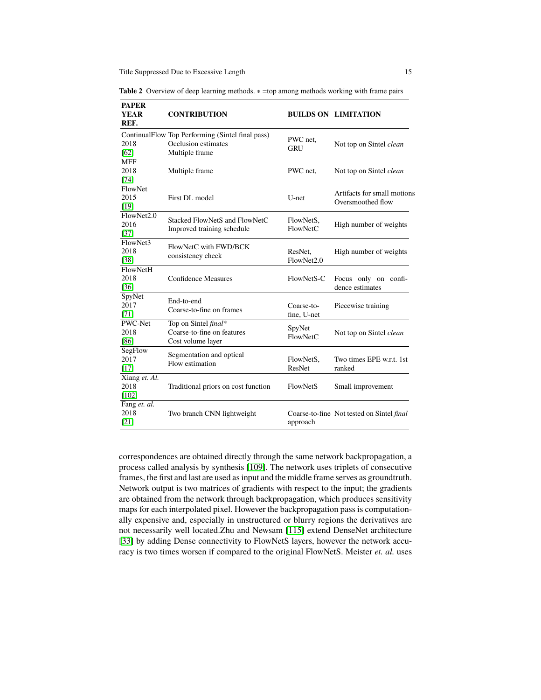| <b>PAPER</b><br><b>YEAR</b><br>REF.                        | <b>CONTRIBUTION</b>                                                                       |                              | <b>BUILDS ON LIMITATION</b>                      |
|------------------------------------------------------------|-------------------------------------------------------------------------------------------|------------------------------|--------------------------------------------------|
| 2018<br>$[62]$                                             | ContinualFlow Top Performing (Sintel final pass)<br>Occlusion estimates<br>Multiple frame | PWC net.<br><b>GRU</b>       | Not top on Sintel <i>clean</i>                   |
| <b>MFF</b><br>2018<br>$[74]$                               | Multiple frame                                                                            | PWC net.                     | Not top on Sintel <i>clean</i>                   |
| FlowNet<br>2015<br>$[19]$                                  | First DL model                                                                            | U-net                        | Artifacts for small motions<br>Oversmoothed flow |
| FlowNet2.0<br>2016<br>$[37]$                               | Stacked FlowNetS and FlowNetC<br>Improved training schedule                               | FlowNetS,<br><b>FlowNetC</b> | High number of weights                           |
| FlowNet3<br>2018<br>$[38]$                                 | FlowNetC with FWD/BCK<br>consistency check                                                | ResNet.<br>FlowNet2.0        | High number of weights                           |
| FlowNetH<br>2018<br>$[36]$                                 | <b>Confidence Measures</b>                                                                | FlowNetS-C                   | Focus only on confi-<br>dence estimates          |
| SpyNet<br>2017<br>$[71]$                                   | End-to-end<br>Coarse-to-fine on frames                                                    | Coarse-to-<br>fine, U-net    | Piecewise training                               |
| PWC-Net<br>2018<br>[86]                                    | Top on Sintel final*<br>Coarse-to-fine on features<br>Cost volume layer                   | SpyNet<br><b>FlowNetC</b>    | Not top on Sintel clean                          |
| SegFlow<br>2017<br>$[17]$                                  | Segmentation and optical<br>Flow estimation                                               | FlowNetS,<br><b>ResNet</b>   | Two times EPE w.r.t. 1st<br>ranked               |
| Xiang et. Al.<br>2018<br>$[102]$                           | Traditional priors on cost function                                                       | FlowNetS                     | Small improvement                                |
| Fang et. al.<br>2018<br>Two branch CNN lightweight<br>[21] |                                                                                           | approach                     | Coarse-to-fine Not tested on Sintel final        |

<span id="page-15-0"></span>Table 2 Overview of deep learning methods. ∗ =top among methods working with frame pairs

correspondences are obtained directly through the same network backpropagation, a process called analysis by synthesis [\[109\]](#page-32-4). The network uses triplets of consecutive frames, the first and last are used as input and the middle frame serves as groundtruth. Network output is two matrices of gradients with respect to the input; the gradients are obtained from the network through backpropagation, which produces sensitivity maps for each interpolated pixel. However the backpropagation pass is computationally expensive and, especially in unstructured or blurry regions the derivatives are not necessarily well located.Zhu and Newsam [\[115\]](#page-32-5) extend DenseNet architecture [\[33\]](#page-28-13) by adding Dense connectivity to FlowNetS layers, however the network accuracy is two times worsen if compared to the original FlowNetS. Meister *et. al.* uses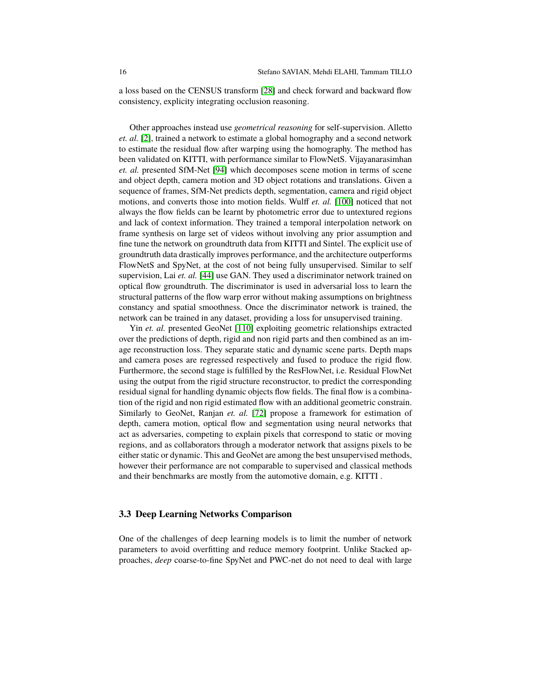a loss based on the CENSUS transform [\[28\]](#page-28-14) and check forward and backward flow consistency, explicity integrating occlusion reasoning.

Other approaches instead use *geometrical reasoning* for self-supervision. Alletto *et. al.* [\[2\]](#page-26-5), trained a network to estimate a global homography and a second network to estimate the residual flow after warping using the homography. The method has been validated on KITTI, with performance similar to FlowNetS. Vijayanarasimhan *et. al.* presented SfM-Net [\[94\]](#page-31-13) which decomposes scene motion in terms of scene and object depth, camera motion and 3D object rotations and translations. Given a sequence of frames, SfM-Net predicts depth, segmentation, camera and rigid object motions, and converts those into motion fields. Wulff *et. al.* [\[100\]](#page-31-12) noticed that not always the flow fields can be learnt by photometric error due to untextured regions and lack of context information. They trained a temporal interpolation network on frame synthesis on large set of videos without involving any prior assumption and fine tune the network on groundtruth data from KITTI and Sintel. The explicit use of groundtruth data drastically improves performance, and the architecture outperforms FlowNetS and SpyNet, at the cost of not being fully unsupervised. Similar to self supervision, Lai *et. al.* [\[44\]](#page-28-15) use GAN. They used a discriminator network trained on optical flow groundtruth. The discriminator is used in adversarial loss to learn the structural patterns of the flow warp error without making assumptions on brightness constancy and spatial smoothness. Once the discriminator network is trained, the network can be trained in any dataset, providing a loss for unsupervised training.

Yin *et. al.* presented GeoNet [\[110\]](#page-32-6) exploiting geometric relationships extracted over the predictions of depth, rigid and non rigid parts and then combined as an image reconstruction loss. They separate static and dynamic scene parts. Depth maps and camera poses are regressed respectively and fused to produce the rigid flow. Furthermore, the second stage is fulfilled by the ResFlowNet, i.e. Residual FlowNet using the output from the rigid structure reconstructor, to predict the corresponding residual signal for handling dynamic objects flow fields. The final flow is a combination of the rigid and non rigid estimated flow with an additional geometric constrain. Similarly to GeoNet, Ranjan *et. al.* [\[72\]](#page-30-14) propose a framework for estimation of depth, camera motion, optical flow and segmentation using neural networks that act as adversaries, competing to explain pixels that correspond to static or moving regions, and as collaborators through a moderator network that assigns pixels to be either static or dynamic. This and GeoNet are among the best unsupervised methods, however their performance are not comparable to supervised and classical methods and their benchmarks are mostly from the automotive domain, e.g. KITTI .

#### <span id="page-16-0"></span>**3.3 Deep Learning Networks Comparison**

One of the challenges of deep learning models is to limit the number of network parameters to avoid overfitting and reduce memory footprint. Unlike Stacked approaches, *deep* coarse-to-fine SpyNet and PWC-net do not need to deal with large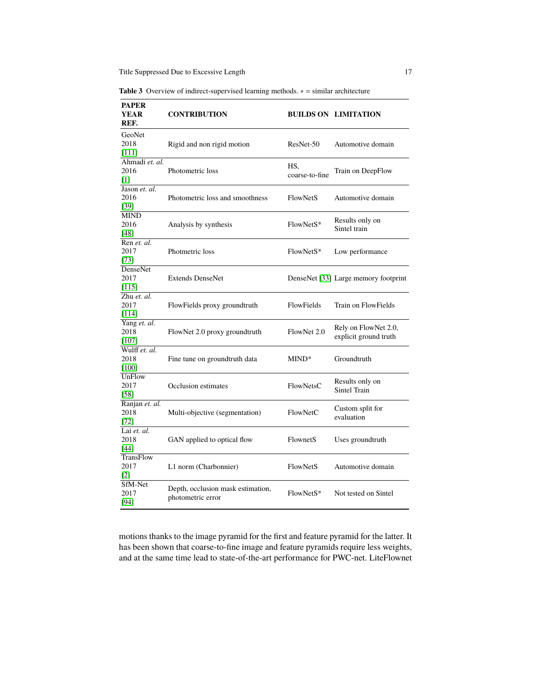<span id="page-17-0"></span>**Table 3** Overview of indirect-supervised learning methods. ∗ = similar architecture

| <b>PAPER</b><br><b>YEAR</b><br>REF.           | <b>CONTRIBUTION</b>                                    |                       | <b>BUILDS ON LIMITATION</b>                   |
|-----------------------------------------------|--------------------------------------------------------|-----------------------|-----------------------------------------------|
| GeoNet<br>2018<br>[111]                       | Rigid and non rigid motion                             | ResNet-50             | Automotive domain                             |
| Ahmadi et. al.<br>2016<br>$\lceil 1 \rceil$   | Photometric loss                                       | HS.<br>coarse-to-fine | Train on DeepFlow                             |
| Jason et. al.<br>2016<br>$[39]$               | Photometric loss and smoothness                        | FlowNetS              | Automotive domain                             |
| <b>MIND</b><br>2016<br>[48]                   | Analysis by synthesis                                  | FlowNetS*             | Results only on<br>Sintel train               |
| Ren et. al.<br>2017<br>[73]                   | Photmetric loss                                        | FlowNetS*             | Low performance                               |
| <b>DenseNet</b><br>2017<br>[115]              | <b>Extends DenseNet</b>                                |                       | DenseNet [33] Large memory footprint          |
| $Z$ hu et. al.<br>2017<br>[114]               | FlowFields proxy groundtruth                           | FlowFields            | Train on FlowFields                           |
| Yang et. al.<br>2018<br>[107]                 | FlowNet 2.0 proxy groundtruth                          | FlowNet 2.0           | Rely on FlowNet 2.0,<br>explicit ground truth |
| Wulff et. al.<br>2018<br>$[100]$              | Fine tune on groundtruth data                          | $MIND*$               | Groundtruth                                   |
| UnFlow<br>2017<br>$[58]$                      | <b>Occlusion estimates</b>                             | FlowNetsC             | Results only on<br><b>Sintel Train</b>        |
| Ranjan et. al.<br>2018<br>$[72]$              | Multi-objective (segmentation)                         | FlowNetC              | Custom split for<br>evaluation                |
| Lai et. al.<br>2018<br>$[44]$                 | GAN applied to optical flow                            | FlownetS              | Uses groundtruth                              |
| <b>TransFlow</b><br>2017<br>$\lceil 2 \rceil$ | L1 norm (Charbonnier)                                  | <b>FlowNetS</b>       | Automotive domain                             |
| SfM-Net<br>2017<br>[94]                       | Depth, occlusion mask estimation,<br>photometric error | FlowNetS*             | Not tested on Sintel                          |

motions thanks to the image pyramid for the first and feature pyramid for the latter. It has been shown that coarse-to-fine image and feature pyramids require less weights, and at the same time lead to state-of-the-art performance for PWC-net. LiteFlownet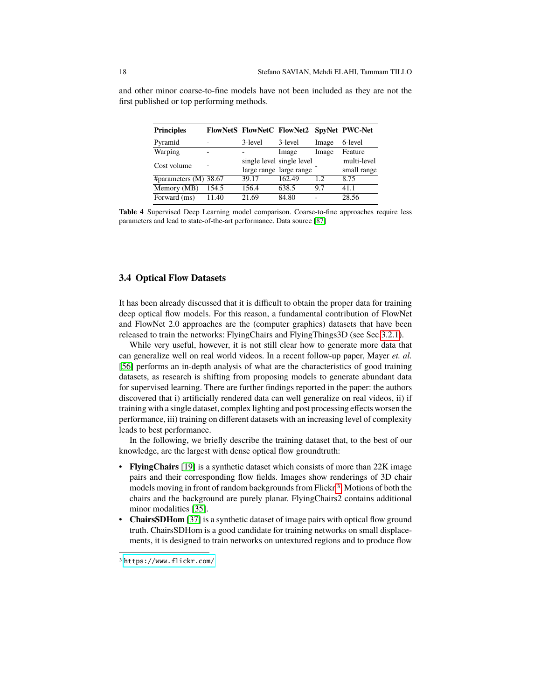| Principles            |       | FlowNetS FlowNetC FlowNet2 SpyNet PWC-Net |                           |       |             |
|-----------------------|-------|-------------------------------------------|---------------------------|-------|-------------|
| Pyramid               |       | 3-level                                   | 3-level                   | Image | 6-level     |
| Warping               |       | ٠                                         | Image                     | Image | Feature     |
| Cost volume           |       |                                           | single level single level |       | multi-level |
|                       |       |                                           | large range large range   |       | small range |
| #parameters (M) 38.67 |       | 39.17                                     | 162.49                    | 1.2   | 8.75        |
| Memory (MB)           | 154.5 | 156.4                                     | 638.5                     | 9.7   | 41.1        |
| Forward (ms)          | 11.40 | 21.69                                     | 84.80                     |       | 28.56       |
|                       |       |                                           |                           |       |             |

and other minor coarse-to-fine models have not been included as they are not the first published or top performing methods.

<span id="page-18-0"></span>**Table 4** Supervised Deep Learning model comparison. Coarse-to-fine approaches require less parameters and lead to state-of-the-art performance. Data source [\[87\]](#page-31-10)

## <span id="page-18-1"></span>**3.4 Optical Flow Datasets**

It has been already discussed that it is difficult to obtain the proper data for training deep optical flow models. For this reason, a fundamental contribution of FlowNet and FlowNet 2.0 approaches are the (computer graphics) datasets that have been released to train the networks: FlyingChairs and FlyingThings3D (see Sec[.3.2.1\)](#page-10-0).

While very useful, however, it is not still clear how to generate more data that can generalize well on real world videos. In a recent follow-up paper, Mayer *et. al.* [\[56\]](#page-29-15) performs an in-depth analysis of what are the characteristics of good training datasets, as research is shifting from proposing models to generate abundant data for supervised learning. There are further findings reported in the paper: the authors discovered that i) artificially rendered data can well generalize on real videos, ii) if training with a single dataset, complex lighting and post processing effects worsen the performance, iii) training on different datasets with an increasing level of complexity leads to best performance.

In the following, we briefly describe the training dataset that, to the best of our knowledge, are the largest with dense optical flow groundtruth:

- **FlyingChairs** [\[19\]](#page-27-4) is a synthetic dataset which consists of more than 22K image pairs and their corresponding flow fields. Images show renderings of 3D chair models moving in front of random backgrounds from Flickr [3](#page-1-0). Motions of both the chairs and the background are purely planar. FlyingChairs2 contains additional minor modalities [\[35\]](#page-28-16).
- **ChairsSDHom** [\[37\]](#page-28-8) is a synthetic dataset of image pairs with optical flow ground truth. ChairsSDHom is a good candidate for training networks on small displacements, it is designed to train networks on untextured regions and to produce flow

<sup>3</sup> <https://www.flickr.com/>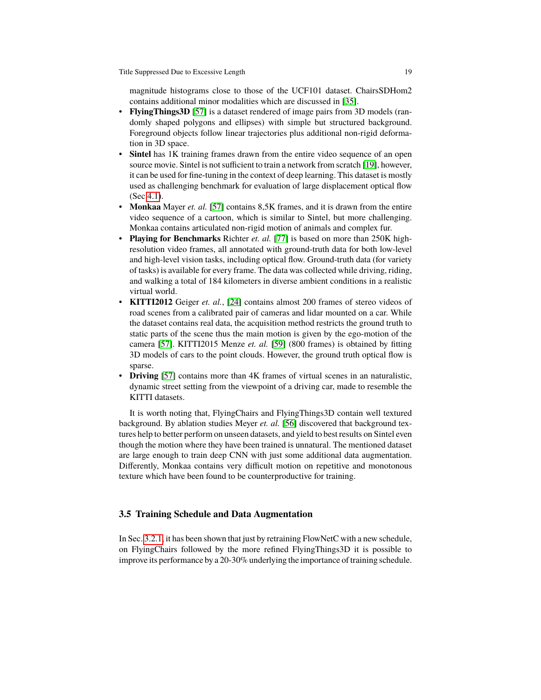magnitude histograms close to those of the UCF101 dataset. ChairsSDHom2 contains additional minor modalities which are discussed in [\[35\]](#page-28-16).

- **FlyingThings3D** [\[57\]](#page-29-9) is a dataset rendered of image pairs from 3D models (randomly shaped polygons and ellipses) with simple but structured background. Foreground objects follow linear trajectories plus additional non-rigid deformation in 3D space.
- **Sintel** has 1K training frames drawn from the entire video sequence of an open source movie. Sintel is not sufficient to train a network from scratch [\[19\]](#page-27-4), however, it can be used for fine-tuning in the context of deep learning. This dataset is mostly used as challenging benchmark for evaluation of large displacement optical flow (Sec [4.1\)](#page-24-2).
- **Monkaa** Mayer *et. al.* [\[57\]](#page-29-9) contains 8,5K frames, and it is drawn from the entire video sequence of a cartoon, which is similar to Sintel, but more challenging. Monkaa contains articulated non-rigid motion of animals and complex fur.
- **Playing for Benchmarks** Richter *et. al.* [\[77\]](#page-30-15) is based on more than 250K highresolution video frames, all annotated with ground-truth data for both low-level and high-level vision tasks, including optical flow. Ground-truth data (for variety of tasks) is available for every frame. The data was collected while driving, riding, and walking a total of 184 kilometers in diverse ambient conditions in a realistic virtual world.
- **KITTI2012** Geiger *et. al.*, [\[24\]](#page-27-11) contains almost 200 frames of stereo videos of road scenes from a calibrated pair of cameras and lidar mounted on a car. While the dataset contains real data, the acquisition method restricts the ground truth to static parts of the scene thus the main motion is given by the ego-motion of the camera [\[57\]](#page-29-9). KITTI2015 Menze *et. al.* [\[59\]](#page-29-16) (800 frames) is obtained by fitting 3D models of cars to the point clouds. However, the ground truth optical flow is sparse.
- **Driving** [\[57\]](#page-29-9) contains more than 4K frames of virtual scenes in an naturalistic, dynamic street setting from the viewpoint of a driving car, made to resemble the KITTI datasets.

It is worth noting that, FlyingChairs and FlyingThings3D contain well textured background. By ablation studies Meyer *et. al.* [\[56\]](#page-29-15) discovered that background textures help to better perform on unseen datasets, and yield to best results on Sintel even though the motion where they have been trained is unnatural. The mentioned dataset are large enough to train deep CNN with just some additional data augmentation. Differently, Monkaa contains very difficult motion on repetitive and monotonous texture which have been found to be counterproductive for training.

#### **3.5 Training Schedule and Data Augmentation**

In Sec. [3.2.1,](#page-10-0) it has been shown that just by retraining FlowNetC with a new schedule, on FlyingChairs followed by the more refined FlyingThings3D it is possible to improve its performance by a 20-30% underlying the importance of training schedule.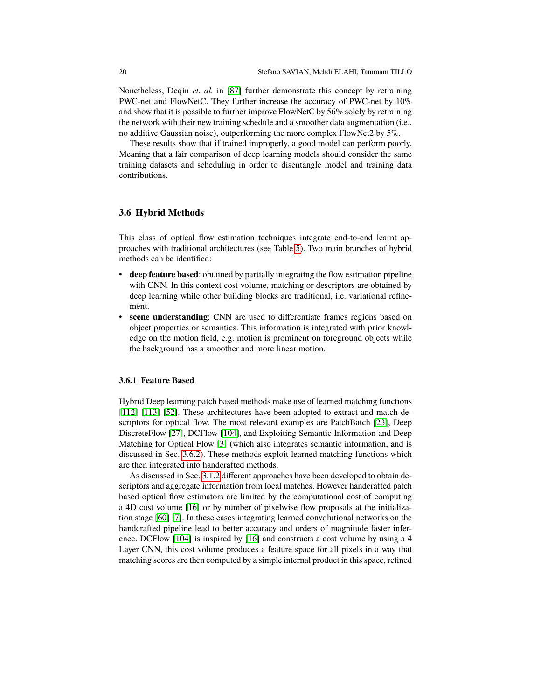Nonetheless, Deqin *et. al.* in [\[87\]](#page-31-10) further demonstrate this concept by retraining PWC-net and FlowNetC. They further increase the accuracy of PWC-net by 10% and show that it is possible to further improve FlowNetC by 56% solely by retraining the network with their new training schedule and a smoother data augmentation (i.e., no additive Gaussian noise), outperforming the more complex FlowNet2 by 5%.

These results show that if trained improperly, a good model can perform poorly. Meaning that a fair comparison of deep learning models should consider the same training datasets and scheduling in order to disentangle model and training data contributions.

## <span id="page-20-0"></span>**3.6 Hybrid Methods**

This class of optical flow estimation techniques integrate end-to-end learnt approaches with traditional architectures (see Table [5\)](#page-23-0). Two main branches of hybrid methods can be identified:

- **deep feature based**: obtained by partially integrating the flow estimation pipeline with CNN. In this context cost volume, matching or descriptors are obtained by deep learning while other building blocks are traditional, i.e. variational refinement.
- **scene understanding**: CNN are used to differentiate frames regions based on object properties or semantics. This information is integrated with prior knowledge on the motion field, e.g. motion is prominent on foreground objects while the background has a smoother and more linear motion.

#### **3.6.1 Feature Based**

Hybrid Deep learning patch based methods make use of learned matching functions [\[112\]](#page-32-9) [\[113\]](#page-32-10) [\[52\]](#page-29-17). These architectures have been adopted to extract and match descriptors for optical flow. The most relevant examples are PatchBatch [\[23\]](#page-27-12), Deep DiscreteFlow [\[27\]](#page-28-17), DCFlow [\[104\]](#page-32-1), and Exploiting Semantic Information and Deep Matching for Optical Flow [\[3\]](#page-26-2) (which also integrates semantic information, and is discussed in Sec. [3.6.2\)](#page-21-0). These methods exploit learned matching functions which are then integrated into handcrafted methods.

As discussed in Sec. [3.1.2](#page-6-1) different approaches have been developed to obtain descriptors and aggregate information from local matches. However handcrafted patch based optical flow estimators are limited by the computational cost of computing a 4D cost volume [\[16\]](#page-27-8) or by number of pixelwise flow proposals at the initialization stage [\[60\]](#page-29-8) [\[7\]](#page-27-7). In these cases integrating learned convolutional networks on the handcrafted pipeline lead to better accuracy and orders of magnitude faster inference. DCFlow [\[104\]](#page-32-1) is inspired by [\[16\]](#page-27-8) and constructs a cost volume by using a 4 Layer CNN, this cost volume produces a feature space for all pixels in a way that matching scores are then computed by a simple internal product in this space, refined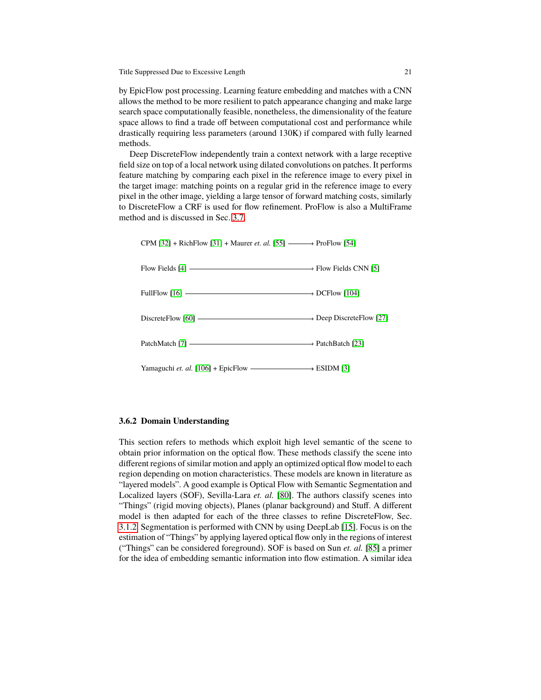by EpicFlow post processing. Learning feature embedding and matches with a CNN allows the method to be more resilient to patch appearance changing and make large search space computationally feasible, nonetheless, the dimensionality of the feature space allows to find a trade off between computational cost and performance while drastically requiring less parameters (around 130K) if compared with fully learned methods.

Deep DiscreteFlow independently train a context network with a large receptive field size on top of a local network using dilated convolutions on patches. It performs feature matching by comparing each pixel in the reference image to every pixel in the target image: matching points on a regular grid in the reference image to every pixel in the other image, yielding a large tensor of forward matching costs, similarly to DiscreteFlow a CRF is used for flow refinement. ProFlow is also a MultiFrame method and is discussed in Sec. [3.7.](#page-22-0)



#### <span id="page-21-0"></span>**3.6.2 Domain Understanding**

This section refers to methods which exploit high level semantic of the scene to obtain prior information on the optical flow. These methods classify the scene into different regions of similar motion and apply an optimized optical flow model to each region depending on motion characteristics. These models are known in literature as "layered models". A good example is Optical Flow with Semantic Segmentation and Localized layers (SOF), Sevilla-Lara *et. al.* [\[80\]](#page-30-16). The authors classify scenes into "Things" (rigid moving objects), Planes (planar background) and Stuff. A different model is then adapted for each of the three classes to refine DiscreteFlow, Sec. [3.1.2.](#page-6-1) Segmentation is performed with CNN by using DeepLab [\[15\]](#page-27-13). Focus is on the estimation of "Things" by applying layered optical flow only in the regions of interest ("Things" can be considered foreground). SOF is based on Sun *et. al.* [\[85\]](#page-31-14) a primer for the idea of embedding semantic information into flow estimation. A similar idea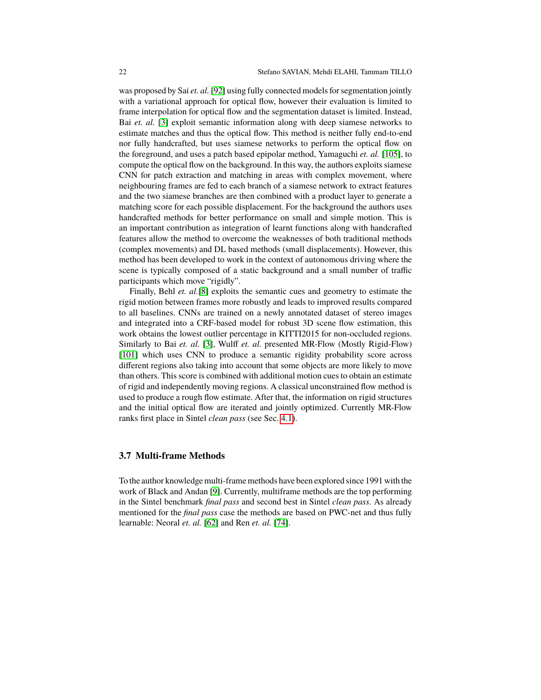was proposed by Sai *et. al.* [\[92\]](#page-31-15) using fully connected models for segmentation jointly with a variational approach for optical flow, however their evaluation is limited to frame interpolation for optical flow and the segmentation dataset is limited. Instead, Bai *et. al.* [\[3\]](#page-26-2) exploit semantic information along with deep siamese networks to estimate matches and thus the optical flow. This method is neither fully end-to-end nor fully handcrafted, but uses siamese networks to perform the optical flow on the foreground, and uses a patch based epipolar method, Yamaguchi *et. al.* [\[105\]](#page-32-12), to compute the optical flow on the background. In this way, the authors exploits siamese CNN for patch extraction and matching in areas with complex movement, where neighbouring frames are fed to each branch of a siamese network to extract features and the two siamese branches are then combined with a product layer to generate a matching score for each possible displacement. For the background the authors uses handcrafted methods for better performance on small and simple motion. This is an important contribution as integration of learnt functions along with handcrafted features allow the method to overcome the weaknesses of both traditional methods (complex movements) and DL based methods (small displacements). However, this method has been developed to work in the context of autonomous driving where the scene is typically composed of a static background and a small number of traffic participants which move "rigidly".

Finally, Behl *et. al.*[\[8\]](#page-27-14) exploits the semantic cues and geometry to estimate the rigid motion between frames more robustly and leads to improved results compared to all baselines. CNNs are trained on a newly annotated dataset of stereo images and integrated into a CRF-based model for robust 3D scene flow estimation, this work obtains the lowest outlier percentage in KITTI2015 for non-occluded regions. Similarly to Bai *et. al.* [\[3\]](#page-26-2), Wulff *et. al.* presented MR-Flow (Mostly Rigid-Flow) [\[101\]](#page-31-16) which uses CNN to produce a semantic rigidity probability score across different regions also taking into account that some objects are more likely to move than others. This score is combined with additional motion cues to obtain an estimate of rigid and independently moving regions. A classical unconstrained flow method is used to produce a rough flow estimate. After that, the information on rigid structures and the initial optical flow are iterated and jointly optimized. Currently MR-Flow ranks first place in Sintel *clean pass* (see Sec. [4.1\)](#page-24-2).

#### <span id="page-22-0"></span>**3.7 Multi-frame Methods**

To the author knowledge multi-frame methods have been explored since 1991 with the work of Black and Andan [\[9\]](#page-27-15). Currently, multiframe methods are the top performing in the Sintel benchmark *final pass* and second best in Sintel *clean pass*. As already mentioned for the *final pass* case the methods are based on PWC-net and thus fully learnable: Neoral *et. al.* [\[62\]](#page-29-10) and Ren *et. al.* [\[74\]](#page-30-11).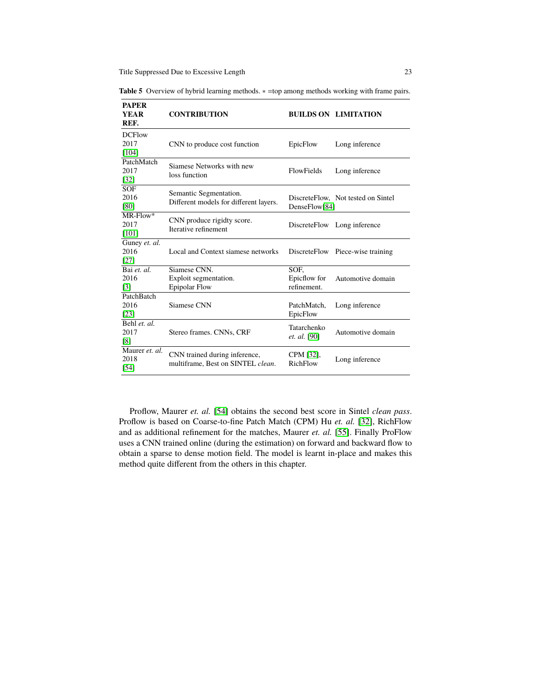<span id="page-23-0"></span>

| <b>PAPER</b><br><b>YEAR</b><br>REF.      | <b>CONTRIBUTION</b>                                                |                                     | <b>BUILDS ON LIMITATION</b>        |
|------------------------------------------|--------------------------------------------------------------------|-------------------------------------|------------------------------------|
| <b>DCFlow</b><br>2017<br>[104]           | CNN to produce cost function                                       | EpicFlow                            | Long inference                     |
| PatchMatch<br>2017<br>$[32]$             | Siamese Networks with new<br>loss function                         | FlowFields                          | Long inference                     |
| <b>SOF</b><br>2016<br>[80]               | Semantic Segmentation.<br>Different models for different layers.   | DenseFlow[84]                       | DiscreteFlow, Not tested on Sintel |
| MR-Flow*<br>2017<br>$[101]$              | CNN produce rigidty score.<br>Iterative refinement                 | <b>DiscreteFlow</b>                 | Long inference                     |
| Guney et. al.<br>2016<br>[27]            | Local and Context siamese networks                                 |                                     | DiscreteFlow Piece-wise training   |
| Bai et. al.<br>2016<br>$\lceil 3 \rceil$ | Siamese CNN.<br>Exploit segmentation.<br><b>Epipolar Flow</b>      | SOF.<br>Epicflow for<br>refinement. | Automotive domain                  |
| PatchBatch<br>2016<br>[23]               | Siamese CNN                                                        | PatchMatch,<br>EpicFlow             | Long inference                     |
| Behl et. al.<br>2017<br>[8]              | Stereo frames. CNNs, CRF                                           | Tatarchenko<br><i>et. al.</i> [90]  | Automotive domain                  |
| Maurer et. al.<br>2018<br>[54]           | CNN trained during inference,<br>multiframe, Best on SINTEL clean. | CPM [32],<br>RichFlow               | Long inference                     |

Table 5 Overview of hybrid learning methods. ∗ =top among methods working with frame pairs.

Proflow, Maurer *et. al.* [\[54\]](#page-29-19) obtains the second best score in Sintel *clean pass*. Proflow is based on Coarse-to-fine Patch Match (CPM) Hu *et. al.* [\[32\]](#page-28-5), RichFlow and as additional refinement for the matches, Maurer *et. al.* [\[55\]](#page-29-18). Finally ProFlow uses a CNN trained online (during the estimation) on forward and backward flow to obtain a sparse to dense motion field. The model is learnt in-place and makes this method quite different from the others in this chapter.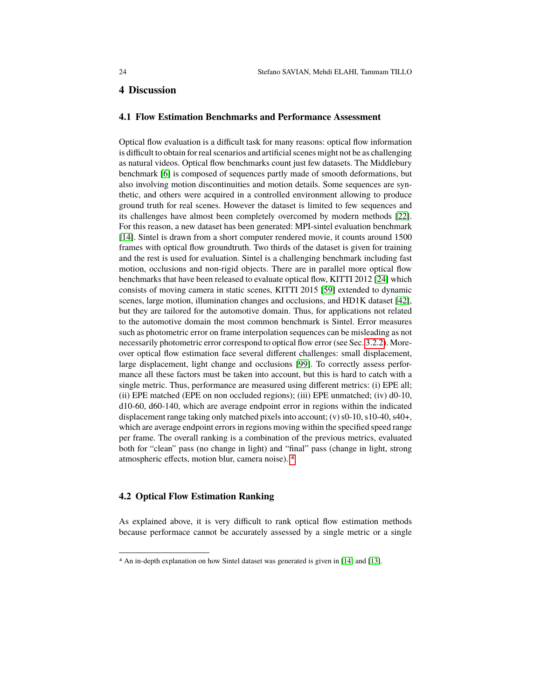## <span id="page-24-0"></span>**4 Discussion**

#### <span id="page-24-2"></span>**4.1 Flow Estimation Benchmarks and Performance Assessment**

Optical flow evaluation is a difficult task for many reasons: optical flow information is difficult to obtain for real scenarios and artificial scenes might not be as challenging as natural videos. Optical flow benchmarks count just few datasets. The Middlebury benchmark [\[6\]](#page-26-6) is composed of sequences partly made of smooth deformations, but also involving motion discontinuities and motion details. Some sequences are synthetic, and others were acquired in a controlled environment allowing to produce ground truth for real scenes. However the dataset is limited to few sequences and its challenges have almost been completely overcomed by modern methods [\[22\]](#page-27-0). For this reason, a new dataset has been generated: MPI-sintel evaluation benchmark [\[14\]](#page-27-16). Sintel is drawn from a short computer rendered movie, it counts around 1500 frames with optical flow groundtruth. Two thirds of the dataset is given for training and the rest is used for evaluation. Sintel is a challenging benchmark including fast motion, occlusions and non-rigid objects. There are in parallel more optical flow benchmarks that have been released to evaluate optical flow, KITTI 2012 [\[24\]](#page-27-11) which consists of moving camera in static scenes, KITTI 2015 [\[59\]](#page-29-16) extended to dynamic scenes, large motion, illumination changes and occlusions, and HD1K dataset [\[42\]](#page-28-18), but they are tailored for the automotive domain. Thus, for applications not related to the automotive domain the most common benchmark is Sintel. Error measures such as photometric error on frame interpolation sequences can be misleading as not necessarily photometric error correspond to optical flow error (see Sec. [3.2.2\)](#page-14-0). Moreover optical flow estimation face several different challenges: small displacement, large displacement, light change and occlusions [\[99\]](#page-31-18). To correctly assess performance all these factors must be taken into account, but this is hard to catch with a single metric. Thus, performance are measured using different metrics: (i) EPE all; (ii) EPE matched (EPE on non occluded regions); (iii) EPE unmatched; (iv) d0-10, d10-60, d60-140, which are average endpoint error in regions within the indicated displacement range taking only matched pixels into account;  $(v)$  s0-10, s10-40, s40+, which are average endpoint errors in regions moving within the specified speed range per frame. The overall ranking is a combination of the previous metrics, evaluated both for "clean" pass (no change in light) and "final" pass (change in light, strong atmospheric effects, motion blur, camera noise). [4](#page-1-0)

#### <span id="page-24-1"></span>**4.2 Optical Flow Estimation Ranking**

As explained above, it is very difficult to rank optical flow estimation methods because performace cannot be accurately assessed by a single metric or a single

<sup>4</sup> An in-depth explanation on how Sintel dataset was generated is given in [\[14\]](#page-27-16) and [\[13\]](#page-27-17).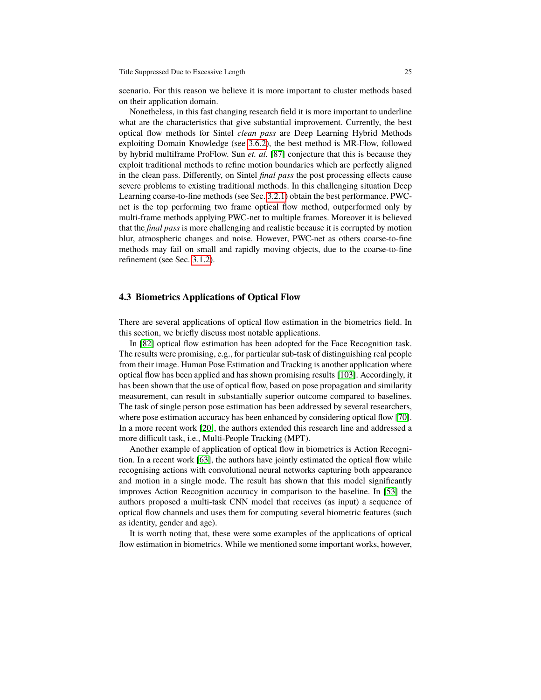scenario. For this reason we believe it is more important to cluster methods based on their application domain.

Nonetheless, in this fast changing research field it is more important to underline what are the characteristics that give substantial improvement. Currently, the best optical flow methods for Sintel *clean pass* are Deep Learning Hybrid Methods exploiting Domain Knowledge (see [3.6.2\)](#page-21-0), the best method is MR-Flow, followed by hybrid multiframe ProFlow. Sun *et. al.* [\[87\]](#page-31-10) conjecture that this is because they exploit traditional methods to refine motion boundaries which are perfectly aligned in the clean pass. Differently, on Sintel *final pass* the post processing effects cause severe problems to existing traditional methods. In this challenging situation Deep Learning coarse-to-fine methods (see Sec. [3.2.1\)](#page-12-1) obtain the best performance. PWCnet is the top performing two frame optical flow method, outperformed only by multi-frame methods applying PWC-net to multiple frames. Moreover it is believed that the *final pass* is more challenging and realistic because it is corrupted by motion blur, atmospheric changes and noise. However, PWC-net as others coarse-to-fine methods may fail on small and rapidly moving objects, due to the coarse-to-fine refinement (see Sec. [3.1.2\)](#page-6-1).

## **4.3 Biometrics Applications of Optical Flow**

There are several applications of optical flow estimation in the biometrics field. In this section, we briefly discuss most notable applications.

In [\[82\]](#page-30-17) optical flow estimation has been adopted for the Face Recognition task. The results were promising, e.g., for particular sub-task of distinguishing real people from their image. Human Pose Estimation and Tracking is another application where optical flow has been applied and has shown promising results [\[103\]](#page-31-3). Accordingly, it has been shown that the use of optical flow, based on pose propagation and similarity measurement, can result in substantially superior outcome compared to baselines. The task of single person pose estimation has been addressed by several researchers, where pose estimation accuracy has been enhanced by considering optical flow [\[70\]](#page-30-18). In a more recent work [\[20\]](#page-27-18), the authors extended this research line and addressed a more difficult task, i.e., Multi-People Tracking (MPT).

Another example of application of optical flow in biometrics is Action Recognition. In a recent work [\[63\]](#page-29-20), the authors have jointly estimated the optical flow while recognising actions with convolutional neural networks capturing both appearance and motion in a single mode. The result has shown that this model significantly improves Action Recognition accuracy in comparison to the baseline. In [\[53\]](#page-29-0) the authors proposed a multi-task CNN model that receives (as input) a sequence of optical flow channels and uses them for computing several biometric features (such as identity, gender and age).

It is worth noting that, these were some examples of the applications of optical flow estimation in biometrics. While we mentioned some important works, however,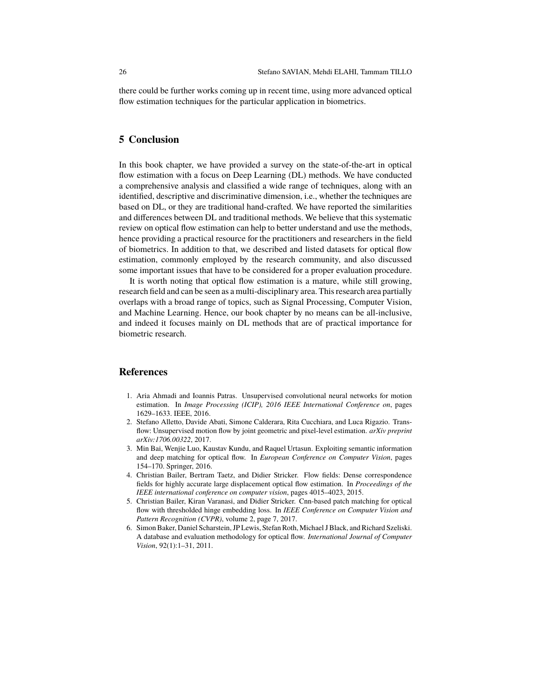there could be further works coming up in recent time, using more advanced optical flow estimation techniques for the particular application in biometrics.

## <span id="page-26-0"></span>**5 Conclusion**

In this book chapter, we have provided a survey on the state-of-the-art in optical flow estimation with a focus on Deep Learning (DL) methods. We have conducted a comprehensive analysis and classified a wide range of techniques, along with an identified, descriptive and discriminative dimension, i.e., whether the techniques are based on DL, or they are traditional hand-crafted. We have reported the similarities and differences between DL and traditional methods. We believe that this systematic review on optical flow estimation can help to better understand and use the methods, hence providing a practical resource for the practitioners and researchers in the field of biometrics. In addition to that, we described and listed datasets for optical flow estimation, commonly employed by the research community, and also discussed some important issues that have to be considered for a proper evaluation procedure.

It is worth noting that optical flow estimation is a mature, while still growing, research field and can be seen as a multi-disciplinary area. This research area partially overlaps with a broad range of topics, such as Signal Processing, Computer Vision, and Machine Learning. Hence, our book chapter by no means can be all-inclusive, and indeed it focuses mainly on DL methods that are of practical importance for biometric research.

## **References**

- <span id="page-26-4"></span>1. Aria Ahmadi and Ioannis Patras. Unsupervised convolutional neural networks for motion estimation. In *Image Processing (ICIP), 2016 IEEE International Conference on*, pages 1629–1633. IEEE, 2016.
- <span id="page-26-5"></span>2. Stefano Alletto, Davide Abati, Simone Calderara, Rita Cucchiara, and Luca Rigazio. Transflow: Unsupervised motion flow by joint geometric and pixel-level estimation. *arXiv preprint arXiv:1706.00322*, 2017.
- <span id="page-26-2"></span>3. Min Bai, Wenjie Luo, Kaustav Kundu, and Raquel Urtasun. Exploiting semantic information and deep matching for optical flow. In *European Conference on Computer Vision*, pages 154–170. Springer, 2016.
- <span id="page-26-1"></span>4. Christian Bailer, Bertram Taetz, and Didier Stricker. Flow fields: Dense correspondence fields for highly accurate large displacement optical flow estimation. In *Proceedings of the IEEE international conference on computer vision*, pages 4015–4023, 2015.
- <span id="page-26-3"></span>5. Christian Bailer, Kiran Varanasi, and Didier Stricker. Cnn-based patch matching for optical flow with thresholded hinge embedding loss. In *IEEE Conference on Computer Vision and Pattern Recognition (CVPR)*, volume 2, page 7, 2017.
- <span id="page-26-6"></span>6. Simon Baker, Daniel Scharstein, JP Lewis, Stefan Roth, Michael J Black, and Richard Szeliski. A database and evaluation methodology for optical flow. *International Journal of Computer Vision*, 92(1):1–31, 2011.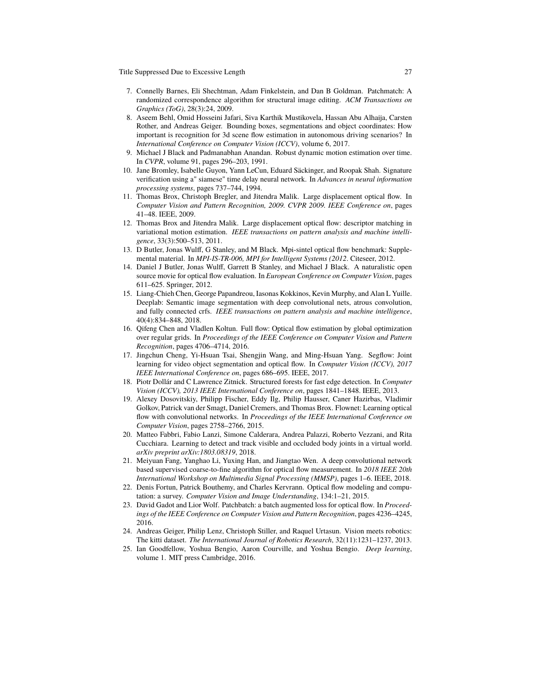- <span id="page-27-7"></span>7. Connelly Barnes, Eli Shechtman, Adam Finkelstein, and Dan B Goldman. Patchmatch: A randomized correspondence algorithm for structural image editing. *ACM Transactions on Graphics (ToG)*, 28(3):24, 2009.
- <span id="page-27-14"></span>8. Aseem Behl, Omid Hosseini Jafari, Siva Karthik Mustikovela, Hassan Abu Alhaija, Carsten Rother, and Andreas Geiger. Bounding boxes, segmentations and object coordinates: How important is recognition for 3d scene flow estimation in autonomous driving scenarios? In *International Conference on Computer Vision (ICCV)*, volume 6, 2017.
- <span id="page-27-15"></span>9. Michael J Black and Padmanabhan Anandan. Robust dynamic motion estimation over time. In *CVPR*, volume 91, pages 296–203, 1991.
- <span id="page-27-3"></span>10. Jane Bromley, Isabelle Guyon, Yann LeCun, Eduard Säckinger, and Roopak Shah. Signature verification using a" siamese" time delay neural network. In *Advances in neural information processing systems*, pages 737–744, 1994.
- <span id="page-27-5"></span>11. Thomas Brox, Christoph Bregler, and Jitendra Malik. Large displacement optical flow. In *Computer Vision and Pattern Recognition, 2009. CVPR 2009. IEEE Conference on*, pages 41–48. IEEE, 2009.
- <span id="page-27-6"></span>12. Thomas Brox and Jitendra Malik. Large displacement optical flow: descriptor matching in variational motion estimation. *IEEE transactions on pattern analysis and machine intelligence*, 33(3):500–513, 2011.
- <span id="page-27-17"></span>13. D Butler, Jonas Wulff, G Stanley, and M Black. Mpi-sintel optical flow benchmark: Supplemental material. In *MPI-IS-TR-006, MPI for Intelligent Systems (2012*. Citeseer, 2012.
- <span id="page-27-16"></span>14. Daniel J Butler, Jonas Wulff, Garrett B Stanley, and Michael J Black. A naturalistic open source movie for optical flow evaluation. In *European Conference on Computer Vision*, pages 611–625. Springer, 2012.
- <span id="page-27-13"></span>15. Liang-Chieh Chen, George Papandreou, Iasonas Kokkinos, Kevin Murphy, and Alan L Yuille. Deeplab: Semantic image segmentation with deep convolutional nets, atrous convolution, and fully connected crfs. *IEEE transactions on pattern analysis and machine intelligence*, 40(4):834–848, 2018.
- <span id="page-27-8"></span>16. Qifeng Chen and Vladlen Koltun. Full flow: Optical flow estimation by global optimization over regular grids. In *Proceedings of the IEEE Conference on Computer Vision and Pattern Recognition*, pages 4706–4714, 2016.
- <span id="page-27-1"></span>17. Jingchun Cheng, Yi-Hsuan Tsai, Shengjin Wang, and Ming-Hsuan Yang. Segflow: Joint learning for video object segmentation and optical flow. In *Computer Vision (ICCV), 2017 IEEE International Conference on*, pages 686–695. IEEE, 2017.
- <span id="page-27-9"></span>18. Piotr Dollár and C Lawrence Zitnick. Structured forests for fast edge detection. In *Computer Vision (ICCV), 2013 IEEE International Conference on*, pages 1841–1848. IEEE, 2013.
- <span id="page-27-4"></span>19. Alexey Dosovitskiy, Philipp Fischer, Eddy Ilg, Philip Hausser, Caner Hazirbas, Vladimir Golkov, Patrick van der Smagt, Daniel Cremers, and Thomas Brox. Flownet: Learning optical flow with convolutional networks. In *Proceedings of the IEEE International Conference on Computer Vision*, pages 2758–2766, 2015.
- <span id="page-27-18"></span>20. Matteo Fabbri, Fabio Lanzi, Simone Calderara, Andrea Palazzi, Roberto Vezzani, and Rita Cucchiara. Learning to detect and track visible and occluded body joints in a virtual world. *arXiv preprint arXiv:1803.08319*, 2018.
- <span id="page-27-10"></span>21. Meiyuan Fang, Yanghao Li, Yuxing Han, and Jiangtao Wen. A deep convolutional network based supervised coarse-to-fine algorithm for optical flow measurement. In *2018 IEEE 20th International Workshop on Multimedia Signal Processing (MMSP)*, pages 1–6. IEEE, 2018.
- <span id="page-27-0"></span>22. Denis Fortun, Patrick Bouthemy, and Charles Kervrann. Optical flow modeling and computation: a survey. *Computer Vision and Image Understanding*, 134:1–21, 2015.
- <span id="page-27-12"></span>23. David Gadot and Lior Wolf. Patchbatch: a batch augmented loss for optical flow. In *Proceedings of the IEEE Conference on Computer Vision and Pattern Recognition*, pages 4236–4245, 2016.
- <span id="page-27-11"></span>24. Andreas Geiger, Philip Lenz, Christoph Stiller, and Raquel Urtasun. Vision meets robotics: The kitti dataset. *The International Journal of Robotics Research*, 32(11):1231–1237, 2013.
- <span id="page-27-2"></span>25. Ian Goodfellow, Yoshua Bengio, Aaron Courville, and Yoshua Bengio. *Deep learning*, volume 1. MIT press Cambridge, 2016.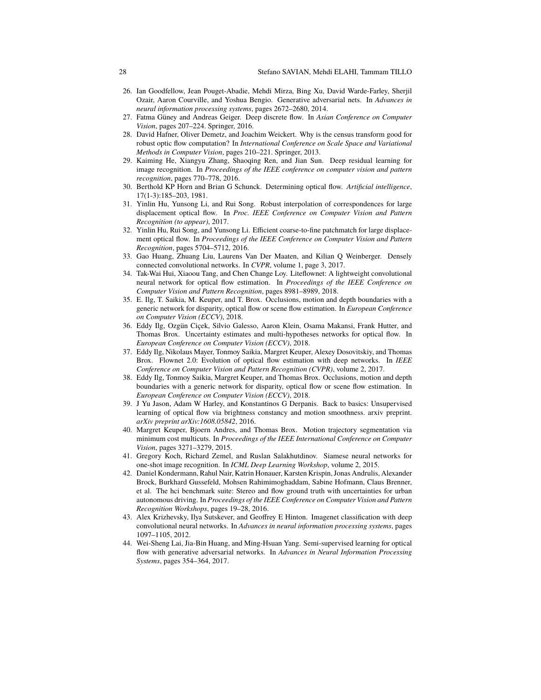- <span id="page-28-4"></span>26. Ian Goodfellow, Jean Pouget-Abadie, Mehdi Mirza, Bing Xu, David Warde-Farley, Sherjil Ozair, Aaron Courville, and Yoshua Bengio. Generative adversarial nets. In *Advances in neural information processing systems*, pages 2672–2680, 2014.
- <span id="page-28-17"></span>27. Fatma Güney and Andreas Geiger. Deep discrete flow. In *Asian Conference on Computer Vision*, pages 207–224. Springer, 2016.
- <span id="page-28-14"></span>28. David Hafner, Oliver Demetz, and Joachim Weickert. Why is the census transform good for robust optic flow computation? In *International Conference on Scale Space and Variational Methods in Computer Vision*, pages 210–221. Springer, 2013.
- <span id="page-28-2"></span>29. Kaiming He, Xiangyu Zhang, Shaoqing Ren, and Jian Sun. Deep residual learning for image recognition. In *Proceedings of the IEEE conference on computer vision and pattern recognition*, pages 770–778, 2016.
- <span id="page-28-0"></span>30. Berthold KP Horn and Brian G Schunck. Determining optical flow. *Artificial intelligence*, 17(1-3):185–203, 1981.
- <span id="page-28-6"></span>31. Yinlin Hu, Yunsong Li, and Rui Song. Robust interpolation of correspondences for large displacement optical flow. In *Proc. IEEE Conference on Computer Vision and Pattern Recognition (to appear)*, 2017.
- <span id="page-28-5"></span>32. Yinlin Hu, Rui Song, and Yunsong Li. Efficient coarse-to-fine patchmatch for large displacement optical flow. In *Proceedings of the IEEE Conference on Computer Vision and Pattern Recognition*, pages 5704–5712, 2016.
- <span id="page-28-13"></span>33. Gao Huang, Zhuang Liu, Laurens Van Der Maaten, and Kilian Q Weinberger. Densely connected convolutional networks. In *CVPR*, volume 1, page 3, 2017.
- <span id="page-28-7"></span>34. Tak-Wai Hui, Xiaoou Tang, and Chen Change Loy. Liteflownet: A lightweight convolutional neural network for optical flow estimation. In *Proceedings of the IEEE Conference on Computer Vision and Pattern Recognition*, pages 8981–8989, 2018.
- <span id="page-28-16"></span>35. E. Ilg, T. Saikia, M. Keuper, and T. Brox. Occlusions, motion and depth boundaries with a generic network for disparity, optical flow or scene flow estimation. In *European Conference on Computer Vision (ECCV)*, 2018.
- <span id="page-28-9"></span>36. Eddy Ilg, Ozgün Ciçek, Silvio Galesso, Aaron Klein, Osama Makansi, Frank Hutter, and Thomas Brox. Uncertainty estimates and multi-hypotheses networks for optical flow. In *European Conference on Computer Vision (ECCV)*, 2018.
- <span id="page-28-8"></span>37. Eddy Ilg, Nikolaus Mayer, Tonmoy Saikia, Margret Keuper, Alexey Dosovitskiy, and Thomas Brox. Flownet 2.0: Evolution of optical flow estimation with deep networks. In *IEEE Conference on Computer Vision and Pattern Recognition (CVPR)*, volume 2, 2017.
- <span id="page-28-10"></span>38. Eddy Ilg, Tonmoy Saikia, Margret Keuper, and Thomas Brox. Occlusions, motion and depth boundaries with a generic network for disparity, optical flow or scene flow estimation. In *European Conference on Computer Vision (ECCV)*, 2018.
- <span id="page-28-12"></span>39. J Yu Jason, Adam W Harley, and Konstantinos G Derpanis. Back to basics: Unsupervised learning of optical flow via brightness constancy and motion smoothness. arxiv preprint. *arXiv preprint arXiv:1608.05842*, 2016.
- <span id="page-28-11"></span>40. Margret Keuper, Bjoern Andres, and Thomas Brox. Motion trajectory segmentation via minimum cost multicuts. In *Proceedings of the IEEE International Conference on Computer Vision*, pages 3271–3279, 2015.
- <span id="page-28-3"></span>41. Gregory Koch, Richard Zemel, and Ruslan Salakhutdinov. Siamese neural networks for one-shot image recognition. In *ICML Deep Learning Workshop*, volume 2, 2015.
- <span id="page-28-18"></span>42. Daniel Kondermann, Rahul Nair, Katrin Honauer, Karsten Krispin, Jonas Andrulis, Alexander Brock, Burkhard Gussefeld, Mohsen Rahimimoghaddam, Sabine Hofmann, Claus Brenner, et al. The hci benchmark suite: Stereo and flow ground truth with uncertainties for urban autonomous driving. In *Proceedings of the IEEE Conference on Computer Vision and Pattern Recognition Workshops*, pages 19–28, 2016.
- <span id="page-28-1"></span>43. Alex Krizhevsky, Ilya Sutskever, and Geoffrey E Hinton. Imagenet classification with deep convolutional neural networks. In *Advances in neural information processing systems*, pages 1097–1105, 2012.
- <span id="page-28-15"></span>44. Wei-Sheng Lai, Jia-Bin Huang, and Ming-Hsuan Yang. Semi-supervised learning for optical flow with generative adversarial networks. In *Advances in Neural Information Processing Systems*, pages 354–364, 2017.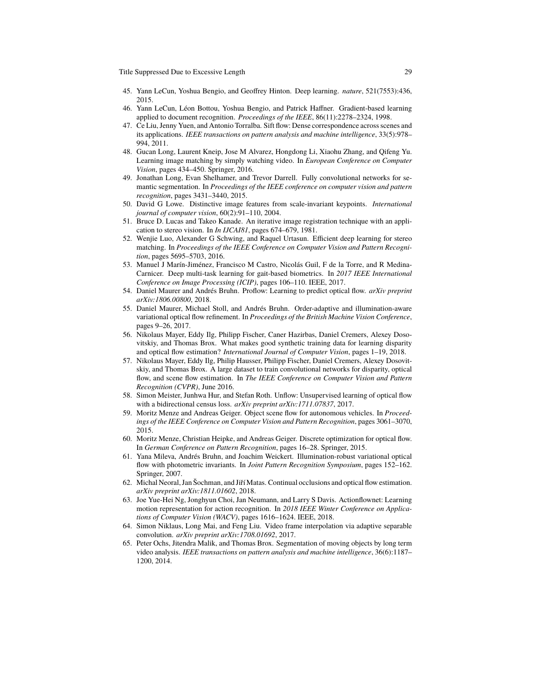- <span id="page-29-2"></span>45. Yann LeCun, Yoshua Bengio, and Geoffrey Hinton. Deep learning. *nature*, 521(7553):436, 2015.
- <span id="page-29-3"></span>46. Yann LeCun, Léon Bottou, Yoshua Bengio, and Patrick Haffner. Gradient-based learning applied to document recognition. *Proceedings of the IEEE*, 86(11):2278–2324, 1998.
- <span id="page-29-7"></span>47. Ce Liu, Jenny Yuen, and Antonio Torralba. Sift flow: Dense correspondence across scenes and its applications. *IEEE transactions on pattern analysis and machine intelligence*, 33(5):978– 994, 2011.
- <span id="page-29-13"></span>48. Gucan Long, Laurent Kneip, Jose M Alvarez, Hongdong Li, Xiaohu Zhang, and Qifeng Yu. Learning image matching by simply watching video. In *European Conference on Computer Vision*, pages 434–450. Springer, 2016.
- <span id="page-29-4"></span>49. Jonathan Long, Evan Shelhamer, and Trevor Darrell. Fully convolutional networks for semantic segmentation. In *Proceedings of the IEEE conference on computer vision and pattern recognition*, pages 3431–3440, 2015.
- <span id="page-29-6"></span>50. David G Lowe. Distinctive image features from scale-invariant keypoints. *International journal of computer vision*, 60(2):91–110, 2004.
- <span id="page-29-1"></span>51. Bruce D. Lucas and Takeo Kanade. An iterative image registration technique with an application to stereo vision. In *In IJCAI81*, pages 674–679, 1981.
- <span id="page-29-17"></span>52. Wenjie Luo, Alexander G Schwing, and Raquel Urtasun. Efficient deep learning for stereo matching. In *Proceedings of the IEEE Conference on Computer Vision and Pattern Recognition*, pages 5695–5703, 2016.
- <span id="page-29-0"></span>53. Manuel J Marín-Jiménez, Francisco M Castro, Nicolás Guil, F de la Torre, and R Medina-Carnicer. Deep multi-task learning for gait-based biometrics. In *2017 IEEE International Conference on Image Processing (ICIP)*, pages 106–110. IEEE, 2017.
- <span id="page-29-19"></span>54. Daniel Maurer and Andrés Bruhn. Proflow: Learning to predict optical flow. *arXiv preprint arXiv:1806.00800*, 2018.
- <span id="page-29-18"></span>55. Daniel Maurer, Michael Stoll, and Andrés Bruhn. Order-adaptive and illumination-aware variational optical flow refinement. In *Proceedings of the British Machine Vision Conference*, pages 9–26, 2017.
- <span id="page-29-15"></span>56. Nikolaus Mayer, Eddy Ilg, Philipp Fischer, Caner Hazirbas, Daniel Cremers, Alexey Dosovitskiy, and Thomas Brox. What makes good synthetic training data for learning disparity and optical flow estimation? *International Journal of Computer Vision*, pages 1–19, 2018.
- <span id="page-29-9"></span>57. Nikolaus Mayer, Eddy Ilg, Philip Hausser, Philipp Fischer, Daniel Cremers, Alexey Dosovitskiy, and Thomas Brox. A large dataset to train convolutional networks for disparity, optical flow, and scene flow estimation. In *The IEEE Conference on Computer Vision and Pattern Recognition (CVPR)*, June 2016.
- <span id="page-29-14"></span>58. Simon Meister, Junhwa Hur, and Stefan Roth. Unflow: Unsupervised learning of optical flow with a bidirectional census loss. *arXiv preprint arXiv:1711.07837*, 2017.
- <span id="page-29-16"></span>59. Moritz Menze and Andreas Geiger. Object scene flow for autonomous vehicles. In *Proceedings of the IEEE Conference on Computer Vision and Pattern Recognition*, pages 3061–3070, 2015.
- <span id="page-29-8"></span>60. Moritz Menze, Christian Heipke, and Andreas Geiger. Discrete optimization for optical flow. In *German Conference on Pattern Recognition*, pages 16–28. Springer, 2015.
- <span id="page-29-5"></span>61. Yana Mileva, Andrés Bruhn, and Joachim Weickert. Illumination-robust variational optical flow with photometric invariants. In *Joint Pattern Recognition Symposium*, pages 152–162. Springer, 2007.
- <span id="page-29-10"></span>62. Michal Neoral, Jan Šochman, and Jiří Matas. Continual occlusions and optical flow estimation. *arXiv preprint arXiv:1811.01602*, 2018.
- <span id="page-29-20"></span>63. Joe Yue-Hei Ng, Jonghyun Choi, Jan Neumann, and Larry S Davis. Actionflownet: Learning motion representation for action recognition. In *2018 IEEE Winter Conference on Applications of Computer Vision (WACV)*, pages 1616–1624. IEEE, 2018.
- <span id="page-29-12"></span>64. Simon Niklaus, Long Mai, and Feng Liu. Video frame interpolation via adaptive separable convolution. *arXiv preprint arXiv:1708.01692*, 2017.
- <span id="page-29-11"></span>65. Peter Ochs, Jitendra Malik, and Thomas Brox. Segmentation of moving objects by long term video analysis. *IEEE transactions on pattern analysis and machine intelligence*, 36(6):1187– 1200, 2014.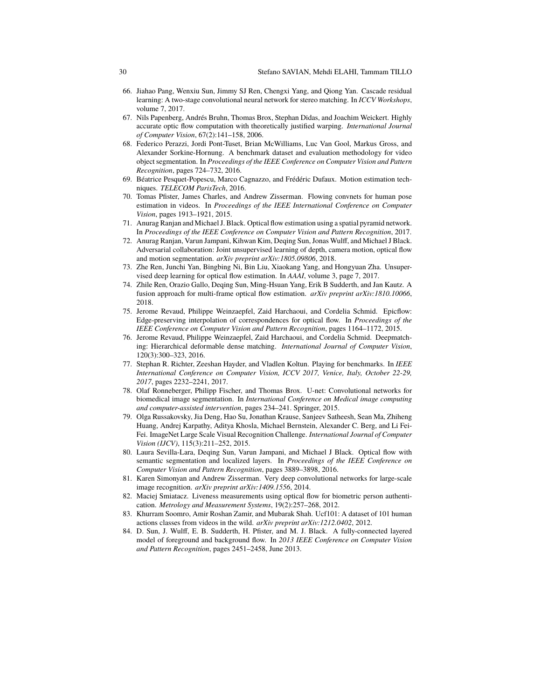- <span id="page-30-9"></span>66. Jiahao Pang, Wenxiu Sun, Jimmy SJ Ren, Chengxi Yang, and Qiong Yan. Cascade residual learning: A two-stage convolutional neural network for stereo matching. In *ICCV Workshops*, volume 7, 2017.
- <span id="page-30-4"></span>67. Nils Papenberg, Andrés Bruhn, Thomas Brox, Stephan Didas, and Joachim Weickert. Highly accurate optic flow computation with theoretically justified warping. *International Journal of Computer Vision*, 67(2):141–158, 2006.
- <span id="page-30-12"></span>68. Federico Perazzi, Jordi Pont-Tuset, Brian McWilliams, Luc Van Gool, Markus Gross, and Alexander Sorkine-Hornung. A benchmark dataset and evaluation methodology for video object segmentation. In *Proceedings of the IEEE Conference on Computer Vision and Pattern Recognition*, pages 724–732, 2016.
- <span id="page-30-3"></span>69. Béatrice Pesquet-Popescu, Marco Cagnazzo, and Frédéric Dufaux. Motion estimation techniques. *TELECOM ParisTech*, 2016.
- <span id="page-30-18"></span>70. Tomas Pfister, James Charles, and Andrew Zisserman. Flowing convnets for human pose estimation in videos. In *Proceedings of the IEEE International Conference on Computer Vision*, pages 1913–1921, 2015.
- <span id="page-30-10"></span>71. Anurag Ranjan and Michael J. Black. Optical flow estimation using a spatial pyramid network. In *Proceedings of the IEEE Conference on Computer Vision and Pattern Recognition*, 2017.
- <span id="page-30-14"></span>72. Anurag Ranjan, Varun Jampani, Kihwan Kim, Deqing Sun, Jonas Wulff, and Michael J Black. Adversarial collaboration: Joint unsupervised learning of depth, camera motion, optical flow and motion segmentation. *arXiv preprint arXiv:1805.09806*, 2018.
- <span id="page-30-13"></span>73. Zhe Ren, Junchi Yan, Bingbing Ni, Bin Liu, Xiaokang Yang, and Hongyuan Zha. Unsupervised deep learning for optical flow estimation. In *AAAI*, volume 3, page 7, 2017.
- <span id="page-30-11"></span>74. Zhile Ren, Orazio Gallo, Deqing Sun, Ming-Hsuan Yang, Erik B Sudderth, and Jan Kautz. A fusion approach for multi-frame optical flow estimation. *arXiv preprint arXiv:1810.10066*, 2018.
- <span id="page-30-6"></span>75. Jerome Revaud, Philippe Weinzaepfel, Zaid Harchaoui, and Cordelia Schmid. Epicflow: Edge-preserving interpolation of correspondences for optical flow. In *Proceedings of the IEEE Conference on Computer Vision and Pattern Recognition*, pages 1164–1172, 2015.
- <span id="page-30-5"></span>76. Jerome Revaud, Philippe Weinzaepfel, Zaid Harchaoui, and Cordelia Schmid. Deepmatching: Hierarchical deformable dense matching. *International Journal of Computer Vision*, 120(3):300–323, 2016.
- <span id="page-30-15"></span>77. Stephan R. Richter, Zeeshan Hayder, and Vladlen Koltun. Playing for benchmarks. In *IEEE International Conference on Computer Vision, ICCV 2017, Venice, Italy, October 22-29, 2017*, pages 2232–2241, 2017.
- <span id="page-30-2"></span>78. Olaf Ronneberger, Philipp Fischer, and Thomas Brox. U-net: Convolutional networks for biomedical image segmentation. In *International Conference on Medical image computing and computer-assisted intervention*, pages 234–241. Springer, 2015.
- <span id="page-30-0"></span>79. Olga Russakovsky, Jia Deng, Hao Su, Jonathan Krause, Sanjeev Satheesh, Sean Ma, Zhiheng Huang, Andrej Karpathy, Aditya Khosla, Michael Bernstein, Alexander C. Berg, and Li Fei-Fei. ImageNet Large Scale Visual Recognition Challenge. *International Journal of Computer Vision (IJCV)*, 115(3):211–252, 2015.
- <span id="page-30-16"></span>80. Laura Sevilla-Lara, Deqing Sun, Varun Jampani, and Michael J Black. Optical flow with semantic segmentation and localized layers. In *Proceedings of the IEEE Conference on Computer Vision and Pattern Recognition*, pages 3889–3898, 2016.
- <span id="page-30-1"></span>81. Karen Simonyan and Andrew Zisserman. Very deep convolutional networks for large-scale image recognition. *arXiv preprint arXiv:1409.1556*, 2014.
- <span id="page-30-17"></span>82. Maciej Smiatacz. Liveness measurements using optical flow for biometric person authentication. *Metrology and Measurement Systems*, 19(2):257–268, 2012.
- <span id="page-30-8"></span>83. Khurram Soomro, Amir Roshan Zamir, and Mubarak Shah. Ucf101: A dataset of 101 human actions classes from videos in the wild. *arXiv preprint arXiv:1212.0402*, 2012.
- <span id="page-30-7"></span>84. D. Sun, J. Wulff, E. B. Sudderth, H. Pfister, and M. J. Black. A fully-connected layered model of foreground and background flow. In *2013 IEEE Conference on Computer Vision and Pattern Recognition*, pages 2451–2458, June 2013.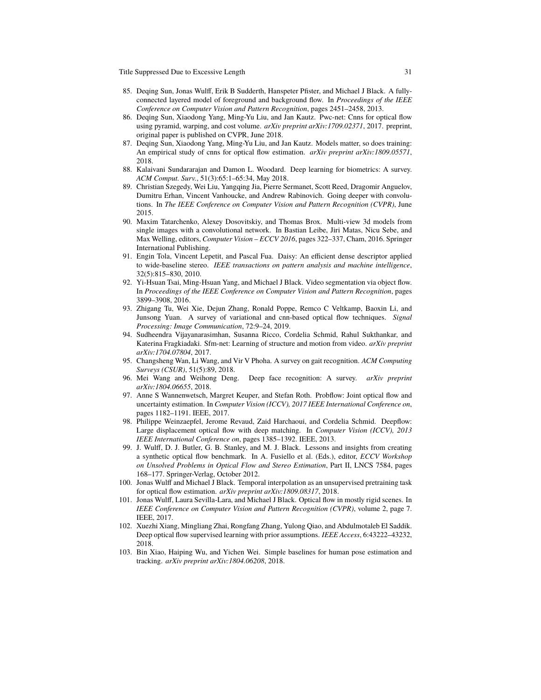- <span id="page-31-14"></span>85. Deqing Sun, Jonas Wulff, Erik B Sudderth, Hanspeter Pfister, and Michael J Black. A fullyconnected layered model of foreground and background flow. In *Proceedings of the IEEE Conference on Computer Vision and Pattern Recognition*, pages 2451–2458, 2013.
- <span id="page-31-11"></span>86. Deqing Sun, Xiaodong Yang, Ming-Yu Liu, and Jan Kautz. Pwc-net: Cnns for optical flow using pyramid, warping, and cost volume. *arXiv preprint arXiv:1709.02371*, 2017. preprint, original paper is published on CVPR, June 2018.
- <span id="page-31-10"></span>87. Deqing Sun, Xiaodong Yang, Ming-Yu Liu, and Jan Kautz. Models matter, so does training: An empirical study of cnns for optical flow estimation. *arXiv preprint arXiv:1809.05571*, 2018.
- <span id="page-31-1"></span>88. Kalaivani Sundararajan and Damon L. Woodard. Deep learning for biometrics: A survey. *ACM Comput. Surv.*, 51(3):65:1–65:34, May 2018.
- <span id="page-31-5"></span>89. Christian Szegedy, Wei Liu, Yangqing Jia, Pierre Sermanet, Scott Reed, Dragomir Anguelov, Dumitru Erhan, Vincent Vanhoucke, and Andrew Rabinovich. Going deeper with convolutions. In *The IEEE Conference on Computer Vision and Pattern Recognition (CVPR)*, June 2015.
- <span id="page-31-17"></span>90. Maxim Tatarchenko, Alexey Dosovitskiy, and Thomas Brox. Multi-view 3d models from single images with a convolutional network. In Bastian Leibe, Jiri Matas, Nicu Sebe, and Max Welling, editors, *Computer Vision – ECCV 2016*, pages 322–337, Cham, 2016. Springer International Publishing.
- <span id="page-31-6"></span>91. Engin Tola, Vincent Lepetit, and Pascal Fua. Daisy: An efficient dense descriptor applied to wide-baseline stereo. *IEEE transactions on pattern analysis and machine intelligence*, 32(5):815–830, 2010.
- <span id="page-31-15"></span>92. Yi-Hsuan Tsai, Ming-Hsuan Yang, and Michael J Black. Video segmentation via object flow. In *Proceedings of the IEEE Conference on Computer Vision and Pattern Recognition*, pages 3899–3908, 2016.
- <span id="page-31-4"></span>93. Zhigang Tu, Wei Xie, Dejun Zhang, Ronald Poppe, Remco C Veltkamp, Baoxin Li, and Junsong Yuan. A survey of variational and cnn-based optical flow techniques. *Signal Processing: Image Communication*, 72:9–24, 2019.
- <span id="page-31-13"></span>94. Sudheendra Vijayanarasimhan, Susanna Ricco, Cordelia Schmid, Rahul Sukthankar, and Katerina Fragkiadaki. Sfm-net: Learning of structure and motion from video. *arXiv preprint arXiv:1704.07804*, 2017.
- <span id="page-31-2"></span>95. Changsheng Wan, Li Wang, and Vir V Phoha. A survey on gait recognition. *ACM Computing Surveys (CSUR)*, 51(5):89, 2018.
- <span id="page-31-0"></span>96. Mei Wang and Weihong Deng. Deep face recognition: A survey. *arXiv preprint arXiv:1804.06655*, 2018.
- <span id="page-31-8"></span>97. Anne S Wannenwetsch, Margret Keuper, and Stefan Roth. Probflow: Joint optical flow and uncertainty estimation. In *Computer Vision (ICCV), 2017 IEEE International Conference on*, pages 1182–1191. IEEE, 2017.
- <span id="page-31-7"></span>98. Philippe Weinzaepfel, Jerome Revaud, Zaid Harchaoui, and Cordelia Schmid. Deepflow: Large displacement optical flow with deep matching. In *Computer Vision (ICCV), 2013 IEEE International Conference on*, pages 1385–1392. IEEE, 2013.
- <span id="page-31-18"></span>99. J. Wulff, D. J. Butler, G. B. Stanley, and M. J. Black. Lessons and insights from creating a synthetic optical flow benchmark. In A. Fusiello et al. (Eds.), editor, *ECCV Workshop on Unsolved Problems in Optical Flow and Stereo Estimation*, Part II, LNCS 7584, pages 168–177. Springer-Verlag, October 2012.
- <span id="page-31-12"></span>100. Jonas Wulff and Michael J Black. Temporal interpolation as an unsupervised pretraining task for optical flow estimation. *arXiv preprint arXiv:1809.08317*, 2018.
- <span id="page-31-16"></span>101. Jonas Wulff, Laura Sevilla-Lara, and Michael J Black. Optical flow in mostly rigid scenes. In *IEEE Conference on Computer Vision and Pattern Recognition (CVPR)*, volume 2, page 7. IEEE, 2017.
- <span id="page-31-9"></span>102. Xuezhi Xiang, Mingliang Zhai, Rongfang Zhang, Yulong Qiao, and Abdulmotaleb El Saddik. Deep optical flow supervised learning with prior assumptions. *IEEE Access*, 6:43222–43232, 2018.
- <span id="page-31-3"></span>103. Bin Xiao, Haiping Wu, and Yichen Wei. Simple baselines for human pose estimation and tracking. *arXiv preprint arXiv:1804.06208*, 2018.